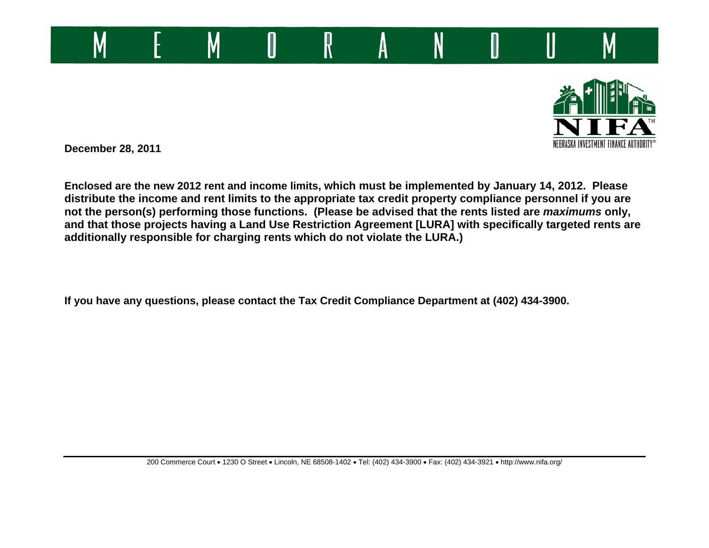



**December 28, 2011** 

**Enclosed are the new 2012 rent and income limits, which must be implemented by January 14, 2012. Please distribute the income and rent limits to the appropriate tax credit property compliance personnel if you are not the person(s) performing those functions. (Please be advised that the rents listed are** *maximums* **only, and that those projects having a Land Use Restriction Agreement [LURA] with specifically targeted rents are additionally responsible for charging rents which do not violate the LURA.)** 

**If you have any questions, please contact the Tax Credit Compliance Department at (402) 434-3900.**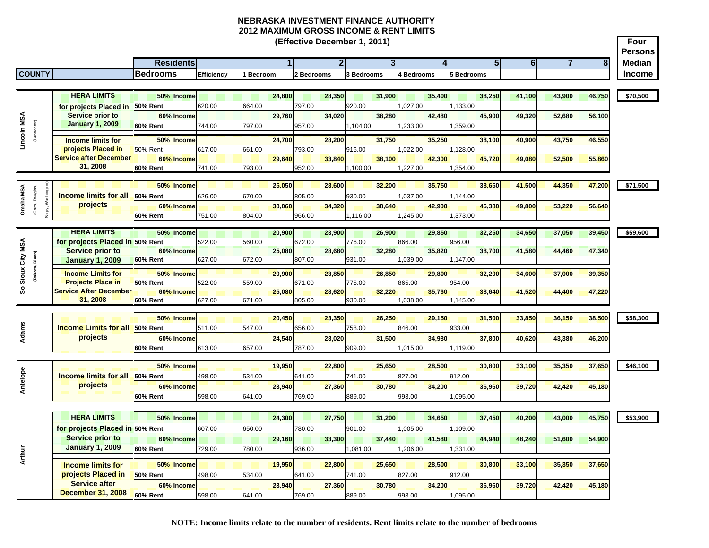|                |                                     |                                                |                  |            |           |        | (Effective December 1, 2011) |                         |                         |            |                        |                    |                     |                |        | Four<br>Persons |
|----------------|-------------------------------------|------------------------------------------------|------------------|------------|-----------|--------|------------------------------|-------------------------|-------------------------|------------|------------------------|--------------------|---------------------|----------------|--------|-----------------|
|                |                                     |                                                | <b>Residents</b> |            |           |        |                              | $\overline{\mathbf{z}}$ | $\overline{\mathbf{3}}$ |            | $\boldsymbol{\Lambda}$ | 5 <sup>1</sup>     | $\overline{\bf{6}}$ | $\overline{7}$ | 8      | <b>Median</b>   |
|                | <b>COUNTY</b>                       |                                                | <b>Bedrooms</b>  | Efficiency | 1 Bedroom |        | 2 Bedrooms                   | 3 Bedrooms              |                         | 4 Bedrooms |                        | 5 Bedrooms         |                     |                |        | <b>Income</b>   |
|                |                                     |                                                |                  |            |           |        |                              |                         |                         |            |                        |                    |                     |                |        |                 |
|                |                                     | <b>HERA LIMITS</b>                             | 50% Income       |            |           | 24,800 | 28,350                       |                         | 31,900                  |            | 35.400                 | 38,250             | 41,100              | 43.900         | 46,750 | \$70,500        |
|                |                                     | for projects Placed in                         | 50% Rent         | 620.00     | 664.00    |        | 797.00                       | 920.00                  |                         | 027.00     |                        | 1,133.00           |                     |                |        |                 |
|                |                                     | Service prior to                               | 60% Income       |            |           | 29.760 | 34,020                       |                         | 38,280                  |            | 42,480                 | 45.900             | 49,320              | 52,680         | 56,100 |                 |
|                |                                     | <b>January 1, 2009</b>                         | <b>60% Rent</b>  | 744.00     | 797.00    |        | 957.00                       | 1,104.00                |                         | 1,233.00   |                        | 1,359.00           |                     |                |        |                 |
| Lincoln MSA    | (Lancaster)                         |                                                | 50% Income       |            |           |        | 28,200                       |                         | 31.750                  |            | 35.250                 |                    |                     | 43,750         |        |                 |
|                |                                     | <b>Income limits for</b><br>projects Placed in | <b>50% Rent</b>  | 617.00     | 661.00    | 24,700 | 793.00                       | 916.00                  |                         | 022.00     |                        | 38,100<br>1,128.00 | 40,900              |                | 46,550 |                 |
|                |                                     | <b>Service after December</b>                  | 60% Income       |            |           | 29,640 | 33,840                       |                         | 38,100                  |            | 42,300                 | 45.720             | 49,080              | 52,500         | 55,860 |                 |
|                |                                     | 31, 2008                                       | <b>60% Rent</b>  | 741.00     | 793.00    |        | 952.00                       | 1,100.00                |                         | 1,227.00   |                        | 1,354.00           |                     |                |        |                 |
|                |                                     |                                                |                  |            |           |        |                              |                         |                         |            |                        |                    |                     |                |        |                 |
|                |                                     |                                                | 50% Income       |            |           | 25,050 | 28,600                       |                         | 32,200                  |            | 35.750                 | 38.650             | 41,500              | 44,350         | 47,200 | \$71,500        |
| Omaha MSA      | Sarpy, Washington<br>(Cass, Douglas | <b>Income limits for all</b>                   | 50% Rent         | 626.00     | 670.00    |        | 805.00                       | 930.00                  |                         | 1,037.00   |                        | 1,144.00           |                     |                |        |                 |
|                |                                     | projects                                       | 60% Income       |            |           | 30.060 | 34.320                       |                         | 38,640                  |            | 42,900                 | 46,380             | 49,800              | 53,220         | 56,640 |                 |
|                |                                     |                                                | <b>60% Rent</b>  | 751.00     | 804.00    |        | 966.00                       | 1,116.00                |                         | 1,245.00   |                        | 1,373.00           |                     |                |        |                 |
|                |                                     | <b>HERA LIMITS</b>                             | 50% Income       |            |           | 20,900 | 23,900                       |                         | 26,900                  |            | 29,850                 | 32,250             | 34,650              | 37,050         | 39,450 | \$59,600        |
|                |                                     | for projects Placed in 50% Rent                |                  | 522.00     | 560.00    |        | 672.00                       | 776.00                  |                         | 866.00     |                        | 956.00             |                     |                |        |                 |
|                |                                     | <b>Service prior to</b>                        | 60% Income       |            |           | 25,080 | 28.680                       |                         | 32,280                  |            | 35.820                 | 38.700             | 41,580              | 44,460         | 47,340 |                 |
|                |                                     | <b>January 1, 2009</b>                         | 60% Rent         | 627.00     | 672.00    |        | 807.00                       | 931.00                  |                         | 1,039.00   |                        | 1,147.00           |                     |                |        |                 |
| Sioux City MSA | (Dakota, Dixon)                     | <b>Income Limits for</b>                       | 50% Income       |            |           | 20,900 | 23,850                       |                         | 26,850                  |            | 29,800                 | 32,200             | 34,600              | 37,000         | 39,350 |                 |
|                |                                     | <b>Projects Place in</b>                       | <b>50% Rent</b>  | 522.00     | 559.00    |        | 671.00                       | 775.00                  |                         | 865.00     |                        | 954.00             |                     |                |        |                 |
| ஃ              |                                     | <b>Service After December</b>                  | 60% Income       |            |           | 25,080 | 28,620                       |                         | 32,220                  |            | 35,760                 | 38,640             | 41,520              | 44,400         | 47,220 |                 |
|                |                                     | 31, 2008                                       | <b>60% Rent</b>  | 627.00     | 671.00    |        | 805.00                       | 930.00                  |                         | 1,038.00   |                        | 1,145.00           |                     |                |        |                 |
|                |                                     |                                                |                  |            |           |        |                              |                         |                         |            |                        |                    |                     |                |        |                 |
|                |                                     |                                                | 50% Income       |            |           | 20,450 | 23,350                       |                         | 26,250                  |            | 29,150                 | 31,500             | 33,850              | 36,150         | 38,500 | \$58,300        |
| Adams          |                                     | <b>Income Limits for all 50% Rent</b>          |                  | 511.00     | 547.00    |        | 656.00                       | 758.00                  |                         | 846.00     |                        | 933.00             |                     |                |        |                 |
|                |                                     | projects                                       | 60% Income       |            |           | 24,540 | 28,020                       |                         | 31,500                  |            | 34,980                 | 37,800             | 40,620              | 43,380         | 46,200 |                 |
|                |                                     |                                                | 60% Rent         | 613.00     | 657.00    |        | 787.00                       | 909.00                  |                         | 1,015.00   |                        | 1.119.00           |                     |                |        |                 |
|                |                                     |                                                | 50% Income       |            |           | 19,950 | 22,800                       |                         | 25,650                  |            | 28,500                 | 30,800             | 33,100              | 35,350         | 37,650 | \$46,100        |
| Antelope       |                                     | <b>Income limits for all</b>                   | 50% Rent         | 498.00     | 534.00    |        | 641.00                       | 741.00                  |                         | 827.00     |                        | 912.00             |                     |                |        |                 |
|                |                                     | projects                                       | 60% Income       |            |           | 23.940 | 27,360                       |                         | 30,780                  |            | 34.200                 | 36,960             | 39,720              | 42,420         | 45,180 |                 |
|                |                                     |                                                | <b>60% Rent</b>  | 598.00     | 641.00    |        | 769.00                       | 889.00                  |                         | 993.00     |                        | 1,095.00           |                     |                |        |                 |
|                |                                     |                                                |                  |            |           |        |                              |                         |                         |            |                        |                    |                     |                |        |                 |
|                |                                     | <b>HERA LIMITS</b>                             | 50% Income       |            |           | 24,300 | 27,750                       |                         | 31,200                  |            | 34,650                 | 37,450             | 40,200              | 43,000         | 45,750 | \$53,900        |
|                |                                     | for projects Placed in 50% Rent                |                  | 607.00     | 650.00    |        | 780.00                       | 901.00                  |                         | 005.00     |                        | 1,109.00           |                     |                |        |                 |
|                |                                     | <b>Service prior to</b>                        | 60% Income       |            |           | 29,160 | 33,300                       |                         | 37,440                  |            | 41,580                 | 44,940             | 48,240              | 51,600         | 54,900 |                 |
|                |                                     | <b>January 1, 2009</b>                         | 60% Rent         | 729.00     | 780.00    |        | 936.00                       | 1,081.00                |                         | 1,206.00   |                        | 1,331.00           |                     |                |        |                 |
| Arthur         |                                     |                                                |                  |            |           |        |                              |                         |                         |            |                        |                    |                     |                |        |                 |
|                |                                     | <b>Income limits for</b>                       | 50% Income       |            |           | 19.950 | 22,800                       |                         | 25.650                  |            | 28,500                 | 30,800             | 33.100              | 35,350         | 37,650 |                 |
|                |                                     | projects Placed in                             | <b>50% Rent</b>  | 498.00     | 534.00    |        | 641.00                       | 741.00                  |                         | 827.00     |                        | 912.00             |                     |                |        |                 |
|                |                                     | <b>Service after</b>                           | 60% Income       |            |           | 23,940 | 27,360                       |                         | 30,780                  |            | 34,200                 | 36,960             | 39,720              | 42,420         | 45,180 |                 |
|                |                                     | <b>December 31, 2008</b>                       | 60% Rent         | 598.00     | 641.00    |        | 769.00                       | 889.00                  |                         | 993.00     |                        | 1,095.00           |                     |                |        |                 |

**NOTE: Income limits relate to the number of residents. Rent limits relate to the number of bedrooms**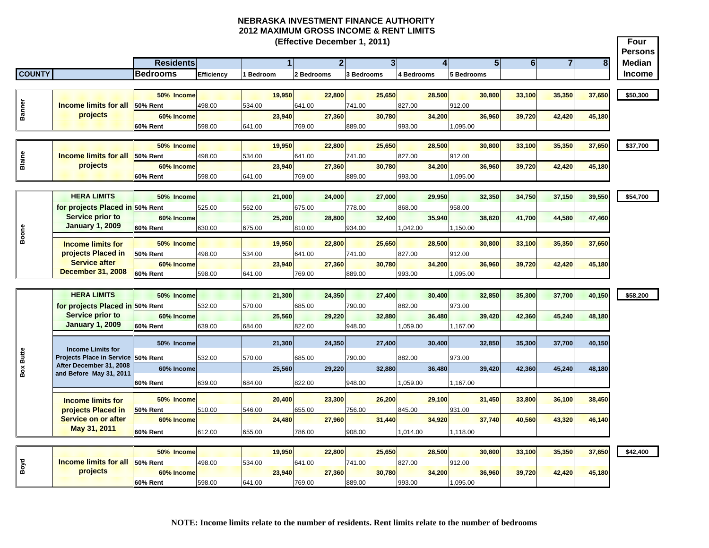**Four PersonsResidents 1 2 3 4 5 6 78 Median COUNTY Bedrooms Efficiency 1 Bedroom 2 Bedrooms 3 Bedrooms 4 Bedrooms 5 Bedrooms Income (Effective December 1, 2011) 50% Income 19,950 22,800 25,650 28,500 30,800 33,100 35,350 37,650 \$50,300 50% Rent** 498.00 534.00 641.00 741.00 827.00 912.00**60% Income 23,940 27,360 30,780 34,200 36,960 39,720 42,420 45,180 60% Rent** 598.00 641.00 769.00 889.00 993.00 1,095.00 **50% Income 19,950 22,800 25,650 28,500 30,800 33,100 35,350 37,650 \$37,700 50% Rent** 498.00 534.00 641.00 741.00 827.00 912.00**60% Income 23,940 27,360 30,780 34,200 36,960 39,720 42,420 45,180 60% Rent** 598.00 641.00 769.00 889.00 993.00 1,095.00 **HERA LIMITS 50% Income 21,000 24,000 27,000 29,950 32,350 34,750 37,150 39,550 \$54,700 for projects Placed in 50% Rent**  525.00 562.00 675.00 778.00 868.00 958.00**60% Income 25,200 28,800 32,400 35,940 38,820 41,700 44,580 47,460 60% Rent** 630.00 675.00 810.00 934.00 1,042.00 1,150.00 **50% Income 19,950 22,800 25,650 28,500 30,800 33,100 35,350 37,650 50% Rent** 498.00 534.00 641.00 741.00 827.00 912.00**60% Income 23,940 27,360 30,780 34,200 36,960 39,720 42,420 45,180 60% Rent** 598.00 641.00 769.00 889.00 993.00 1,095.00 **HERA LIMITS 50% Income 21,300 24,350 27,400 30,400 32,850 35,300 37,700 40,150 \$58,200 for projects Placed in 50% Rent**  532.00 570.00 685.00 790.00 882.00 973.00973.00 **60% Income 25,560 29,220 32,880 36,480 39,420 42,360 45,240 48,180 60% Rent** 639.00 684.00 822.00 948.00 1,059.00 1,167.00 **50% Income 21,300 24,350 27,400 30,400 32,850 35,300 37,700 40,150 Projects Place in Service 50% Rent**  532.00 570.00 685.00 790.00 882.00 973.00**60% Income 25,560 29,220 32,880 36,480 39,420 42,360 45,240 48,180 60% Rent** 639.00 684.00 822.00 948.00 1,059.00 1,167.00 **50% Income 20,400 23,300 26,200 29,100 31,450 33,800 36,100 38,450 50% Rent** 510.00 546.00 655.00 756.00 845.00 931.00931.00 **60% Income 24,480 27,960 31,440 34,920 37,740 40,560 43,320 46,140 60% Rent** 612.00 655.00 786.00 908.00 1,014.00 1,118.00 **50% Income 19,950 22,800 25,650 28,500 30,800 33,100 35,350 37,650 \$42,400 50% Rent** 498.00 534.00 641.00 741.00 827.00 912.00912.00 **60% Income 23,940 27,360 30,780 34,200 36,960 39,720 42,420 45,180 60% Rent** 598.00 641.00 769.00 889.00 993.00 1,095.00 **Boone Income limits for projects Placed in Service on or after May 31, 2011 Service prior to January 1, 2009 Banner Income limits for all projects BlaineIncome limits for all projects Income limits for projects Placed in Service after December 31, 2008 Service prior to January 1, 2009 Box Butte** Income Limits for<br>
Projects Place in Service<br>
After December 31, 2008<br>
and Before May 31, 2011<br> **Income limits for**<br> **Projects Placed in**<br> **Service on or after<br>
May 31, 2011**<br> **Projects**<br> **Projects**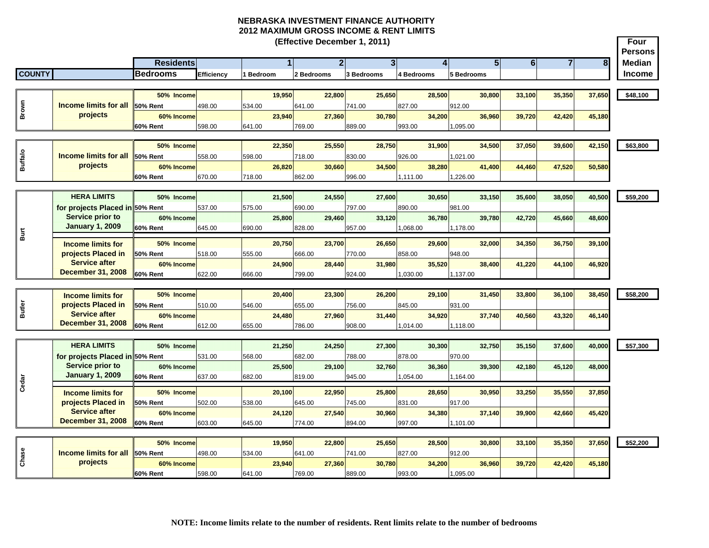**Four Persons Residents 1 2 3 4 5 6 78 Median COUNTY Bedrooms Efficiency 1 Bedroom 2 Bedrooms 3 Bedrooms 4 Bedrooms 5 Bedrooms Income (Effective December 1, 2011) 50% Income 19,950 22,800 25,650 28,500 30,800 33,100 35,350 37,650 \$48,100 50% Rent** 498.00 534.00 641.00 741.00 827.00 912.00**60% Income 23,940 27,360 30,780 34,200 36,960 39,720 42,420 45,180 60% Rent** 598.00 641.00 769.00 889.00 993.00 1,095.00 **50% Income 22,350 25,550 28,750 31,900 34,500 37,050 39,600 42,150 \$63,800 50% Rent** 558.00 598.00 718.00 830.00 926.00 1,021.00 **60% Income 26,820 30,660 34,500 38,280 41,400 44,460 47,520 50,580 60% Rent** 670.00 718.00 862.00 996.00 1,111.00 1,226.00 **HERA LIMITS 50% Income 21,500 24,550 27,600 30,650 33,150 35,600 38,050 40,500 \$59,200 for projects Placed in 50% Rent**  537.00 575.00 690.00 797.00 890.00 981.00981.00 **60% Income 25,800 29,460 33,120 36,780 39,780 42,720 45,660 48,600 60% Rent** 645.00 690.00 828.00 957.00 1,068.00 1,178.00 **50% Income 20,750 23,700 26,650 29,600 32,000 34,350 36,750 39,100 50% Rent** 518.00 555.00 666.00 770.00 858.00 948.00**60% Income 24,900 28,440 31,980 35,520 38,400 41,220 44,100 46,920 60% Rent** 622.00 666.00 799.00 924.00 1,030.00 1,137.00 **50% Income 20,400 23,300 26,200 29,100 31,450 33,800 36,100 38,450 \$58,200 50% Rent** 510.00 546.00 655.00 756.00 845.00 931.00931.00 **60% Income 24,480 27,960 31,440 34,920 37,740 40,560 43,320 46,140 60% Rent** 612.00 655.00 786.00 908.00 1,014.00 1,118.00 **HERA LIMITS 50% Income 21,250 24,250 27,300 30,300 32,750 35,150 37,600 40,000 \$57,300 for projects Placed in 50% Rent**  531.00 568.00 682.00 788.00 878.00 970.00970.00 **60% Income 25,500 29,100 32,760 36,360 39,300 42,180 45,120 48,000 60% Rent** 637.00 682.00 819.00 945.00 1,054.00 1,164.00 **50% Income 20,100 22,950 25,800 28,650 30,950 33,250 35,550 37,850 50% Rent** 502.00 538.00 645.00 745.00 831.00 917.00917.00 **60% Income 24,120 27,540 30,960 34,380 37,140 39,900 42,660 45,420 60% Rent** 603.00 645.00 774.00 894.00 997.00 1,101.00 **50% Income 19,950 22,800 25,650 28,500 30,800 33,100 35,350 37,650 \$52,200 50% Rent** 498.00 534.00 641.00 741.00 827.00 912.00912.00 **60% Income 23,940 27,360 30,780 34,200 36,960 39,720 42,420 45,180 60% Rent** 598.00 641.00 769.00 889.00 993.00 1,095.00 **Chase Extending Channel Income limits for all projects Burt Income limits for projects Placed in Service after December 31, 2008 Service prior to January 1, 2009 Income limits for projects Placed in Service after December 31, 2008 Cedar** *I* **C**<br>Cedar **I I I I I I I I Come limits for projects Placed in Service after December 31, 2008 Service prior to January 1, 2009 Example 19 Income limits for all projects**<br> **Buffalo**<br> **Buffalo Brown Income limits for all projects**<br> **Buffalo Brown Income limits for service prior to January 1, 2009<br>
<b>Buffalo Brown Income limits for projects Placed in**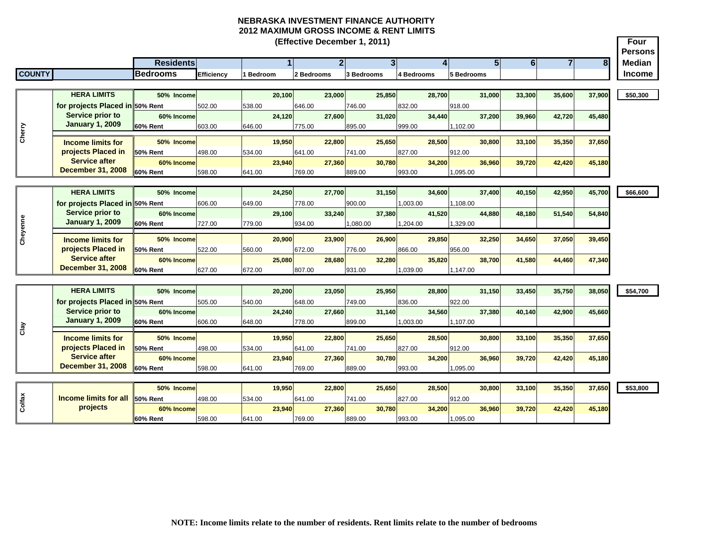|               |                                                            |                               |                   |                  | (Effective December 1, 2011) |                    |                    |                    |                                    |                | Four           |
|---------------|------------------------------------------------------------|-------------------------------|-------------------|------------------|------------------------------|--------------------|--------------------|--------------------|------------------------------------|----------------|----------------|
|               |                                                            |                               |                   |                  |                              |                    |                    |                    |                                    |                | <b>Persons</b> |
|               |                                                            | <b>Residents</b>              |                   |                  | $\overline{2}$               | $\overline{3}$     |                    | 51                 | $6 \overline{6}$<br>$\overline{7}$ | 8 <sup>1</sup> | <b>Median</b>  |
| <b>COUNTY</b> |                                                            | <b>Bedrooms</b>               | <b>Efficiency</b> | <b>Bedroom</b>   | 2 Bedrooms                   | 3 Bedrooms         | 4 Bedrooms         | 5 Bedrooms         |                                    |                | <b>Income</b>  |
|               | <b>HERA LIMITS</b>                                         | 50% Income                    |                   | 20,100           | 23,000                       | 25,850             | 28,700             | 31,000             | 33,300<br>35,600                   | 37,900         |                |
|               |                                                            |                               |                   |                  |                              |                    |                    |                    |                                    |                | \$50,300       |
|               | for projects Placed in 50% Rent<br><b>Service prior to</b> | 60% Income                    | 502.00            | 538.00<br>24.120 | 646.00<br>27,600             | 746.00<br>31.020   | 832.00<br>34.440   | 918.00<br>37.200   | 39.960<br>42.720                   | 45,480         |                |
|               | <b>January 1, 2009</b>                                     | 60% Rent                      | 603.00            | 646.00           | 775.00                       | 895.00             | 999.00             | 1,102.00           |                                    |                |                |
| Cherry        |                                                            |                               |                   |                  |                              |                    |                    |                    |                                    |                |                |
|               | <b>Income limits for</b>                                   | 50% Income                    |                   | 19,950           | 22,800                       | 25,650             | 28,500             | 30,800             | 35,350<br>33,100                   | 37,650         |                |
|               | projects Placed in                                         | 50% Rent                      | 498.00            | 534.00           | 641.00                       | 741.00             | 827.00             | 912.00             |                                    |                |                |
|               | <b>Service after</b>                                       | 60% Income                    |                   | 23.940           | 27,360                       | 30.780             | 34.200             | 36.960             | 39,720<br>42,420                   | 45,180         |                |
|               | <b>December 31, 2008</b>                                   | 60% Rent                      | 598.00            | 641.00           | 769.00                       | 889.00             | 993.00             | 1,095.00           |                                    |                |                |
|               | <b>HERA LIMITS</b>                                         |                               |                   |                  |                              |                    |                    |                    |                                    |                |                |
|               |                                                            | 50% Income                    |                   | 24,250           | 27,700                       | 31,150             | 34,600             | 37,400             | 40,150<br>42,950                   | 45,700         | \$66,600       |
|               | for projects Placed in 50% Rent<br>Service prior to        |                               | 606.00            | 649.00           | 778.00                       | 900.00             | 1,003.00           | 1,108.00           |                                    |                |                |
|               | <b>January 1, 2009</b>                                     | 60% Income<br><b>60% Rent</b> | 727.00            | 29.100<br>779.00 | 33,240<br>934.00             | 37.380<br>1,080.00 | 41,520<br>1,204.00 | 44,880<br>1,329.00 | 48,180<br>51,540                   | 54,840         |                |
|               |                                                            |                               |                   |                  |                              |                    |                    |                    |                                    |                |                |
| Cheyenne      | <b>Income limits for</b>                                   | 50% Income                    |                   | 20,900           | 23,900                       | 26,900             | 29.850             | 32,250             | 37,050<br>34,650                   | 39,450         |                |
|               | projects Placed in                                         | 50% Rent                      | 522.00            | 560.00           | 672.00                       | 776.00             | 866.00             | 956.00             |                                    |                |                |
|               | <b>Service after</b>                                       | 60% Income                    |                   | 25,080           | 28,680                       | 32,280             | 35,820             | 38,700             | 44,460<br>41,580                   | 47,340         |                |
|               | <b>December 31, 2008</b>                                   | <b>60% Rent</b>               | 627.00            | 672.00           | 807.00                       | 931.00             | 1,039.00           | 1,147.00           |                                    |                |                |
|               |                                                            |                               |                   |                  |                              |                    |                    |                    |                                    |                |                |
|               | <b>HERA LIMITS</b>                                         | 50% Income                    |                   | 20,200           | 23,050                       | 25,950             | 28,800             | 31,150             | 35,750<br>33,450                   | 38,050         | \$54,700       |
|               | for projects Placed in 50% Rent                            |                               | 505.00            | 540.00           | 648.00                       | 749.00             | 836.00             | 922.00             |                                    |                |                |
|               | Service prior to                                           | 60% Income                    |                   | 24.240           | 27.660                       | 31.140             | 34.560             | 37,380             | 42,900<br>40.140                   | 45,660         |                |
| Clay          | <b>January 1, 2009</b>                                     | 60% Rent                      | 606.00            | 648.00           | 778.00                       | 899.00             | 1,003.00           | 1,107.00           |                                    |                |                |
|               | <b>Income limits for</b>                                   | 50% Income                    |                   | 19,950           | 22,800                       | 25,650             | 28,500             | 30,800             | 35,350<br>33,100                   | 37,650         |                |
|               | projects Placed in                                         | 50% Rent                      | 498.00            | 534.00           | 641.00                       | 741.00             | 827.00             | 912.00             |                                    |                |                |
|               | <b>Service after</b>                                       | 60% Income                    |                   | 23.940           | 27,360                       | 30.780             | 34.200             | 36,960             | 39,720<br>42,420                   | 45,180         |                |
|               | <b>December 31, 2008</b>                                   | 60% Rent                      | 598.00            | 641.00           | 769.00                       | 889.00             | 993.00             | 1,095.00           |                                    |                |                |
|               |                                                            |                               |                   |                  |                              |                    |                    |                    |                                    |                |                |
|               |                                                            | 50% Income                    |                   | 19,950           | 22,800                       | 25,650             | 28,500             | 30,800             | 33,100<br>35,350                   | 37,650         | \$53,800       |
| Colfax        | <b>Income limits for all</b>                               | 50% Rent                      | 498.00            | 534.00           | 641.00                       | 741.00             | 827.00             | 912.00             |                                    |                |                |
|               | projects                                                   | 60% Income                    |                   | 23,940           | 27,360                       | 30,780             | 34,200             | 36,960             | 39,720<br>42,420                   | 45,180         |                |
|               |                                                            | 60% Rent                      | 598.00            | 641.00           | 769.00                       | 889.00             | 993.00             | 1,095.00           |                                    |                |                |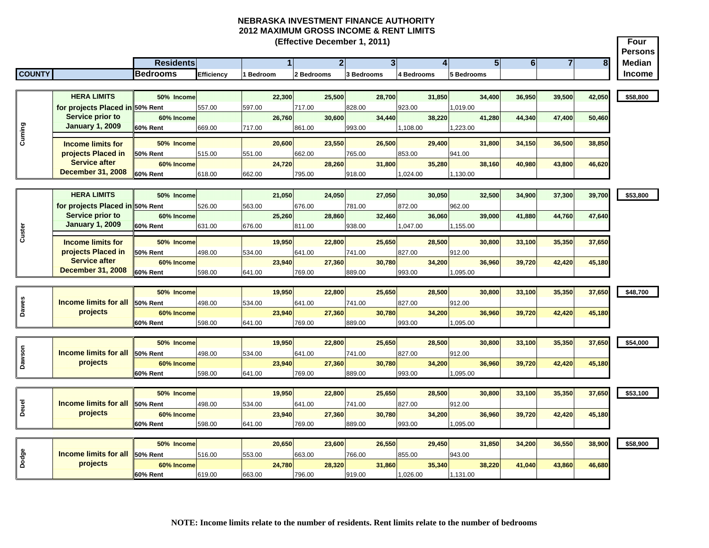|               |                                 |                  |                   | NEDRASNA INVESTMENT FINANCE AUTHURITT<br>2012 MAXIMUM GROSS INCOME & RENT LIMITS |        |                              |                |            |                |            |        |            |                |                |                |        |                        |
|---------------|---------------------------------|------------------|-------------------|----------------------------------------------------------------------------------|--------|------------------------------|----------------|------------|----------------|------------|--------|------------|----------------|----------------|----------------|--------|------------------------|
|               |                                 |                  |                   |                                                                                  |        | (Effective December 1, 2011) |                |            |                |            |        |            |                |                |                |        | Four<br><b>Persons</b> |
|               |                                 | <b>Residents</b> |                   |                                                                                  |        |                              | 2 <sub>l</sub> |            | 3 <sup>l</sup> |            | 41     |            | $\overline{5}$ | 6 <sup>1</sup> | $\overline{7}$ | 8      | <b>Median</b>          |
| <b>COUNTY</b> |                                 | <b>Bedrooms</b>  | <b>Efficiency</b> | Bedroom                                                                          |        | 2 Bedrooms                   |                | 3 Bedrooms |                | 4 Bedrooms |        | 5 Bedrooms |                |                |                |        | <b>Income</b>          |
|               |                                 |                  |                   |                                                                                  |        |                              |                |            |                |            |        |            |                |                |                |        |                        |
|               | <b>HERA LIMITS</b>              | 50% Income       |                   |                                                                                  | 22.300 |                              | 25.500         |            | 28.700         |            | 31.850 |            | 34.400         | 36,950         | 39.500         | 42.050 | \$58,800               |
|               | for projects Placed in 50% Rent |                  | 557.00            | 597.00                                                                           |        | 717.00                       |                | 828.00     |                | 923.00     |        | 1,019.00   |                |                |                |        |                        |
|               | <b>Service prior to</b>         | 60% Income       |                   |                                                                                  | 26,760 |                              | 30,600         |            | 34,440         |            | 38,220 |            | 41,280         | 44,340         | 47,400         | 50,460 |                        |
|               | <b>January 1, 2009</b>          | 60% Rent         | 669.00            | 717.00                                                                           |        | 861.00                       |                | 993.00     |                | 1,108.00   |        | 1,223.00   |                |                |                |        |                        |
|               | <b>Income limits for</b>        | 50% Income       |                   |                                                                                  | 20,600 |                              | 23,550         |            | 26,500         |            | 29,400 |            | 31,800         | 34,150         | 36,500         | 38,850 |                        |
|               | projects Placed in              | 50% Rent         | 515.00            | 551.00                                                                           |        | 662.00                       |                | 765.00     |                | 853.00     |        | 941.00     |                |                |                |        |                        |
|               | <b>Service after</b>            | 60% Income       |                   |                                                                                  | 24,720 |                              | 28,260         |            | 31,800         |            | 35,280 |            | 38,160         | 40,980         | 43,800         | 46,620 |                        |
|               | <b>December 31, 2008</b>        | 60% Rent         | 618.00            | 662.00                                                                           |        | 795.00                       |                | 918.00     |                | 1,024.00   |        | 1,130.00   |                |                |                |        |                        |
|               | <b>HERA LIMITS</b>              | 50% Income       |                   |                                                                                  | 21,050 |                              | 24,050         |            | 27.050         |            | 30.050 |            | 32,500         | 34,900         | 37,300         | 39,700 | \$53,800               |
|               | for projects Placed in 50% Rent |                  | 526.00            | 563.00                                                                           |        | 676.00                       |                | 781.00     |                | 872.00     |        | 962.00     |                |                |                |        |                        |
|               | <b>Service prior to</b>         | 60% Income       |                   |                                                                                  | 25,260 |                              | 28,860         |            | 32,460         |            | 36,060 |            | 39,000         | 41,880         | 44,760         | 47,640 |                        |
|               | <b>January 1, 2009</b>          | 60% Rent         | 631.00            | 676.00                                                                           |        | 811.00                       |                | 938.00     |                | 1,047.00   |        | 1,155.00   |                |                |                |        |                        |
|               |                                 |                  |                   |                                                                                  |        |                              |                |            |                |            |        |            |                |                |                |        |                        |
|               | <b>Income limits for</b>        | 50% Income       |                   |                                                                                  | 19,950 |                              | 22,800         |            | 25,650         |            | 28,500 |            | 30,800         | 33,100         | 35,350         | 37,650 |                        |
|               | projects Placed in              | 50% Rent         | 498.00            | 534.00                                                                           |        | 641.00                       |                | 741.00     |                | 827.00     |        | 912.00     |                |                |                |        |                        |
|               | <b>Service after</b>            | 60% Income       |                   |                                                                                  | 23.940 |                              | 27,360         |            | 30.780         |            | 34,200 |            | 36,960         | 39,720         | 42,420         | 45,180 |                        |
|               | <b>December 31, 2008</b>        | 60% Rent         | 598.00            | 641.00                                                                           |        | 769.00                       |                | 889.00     |                | 993.00     |        | 1,095.00   |                |                |                |        |                        |
|               |                                 | 50% Income       |                   |                                                                                  | 19,950 |                              | 22,800         |            | 25,650         |            | 28,500 |            | 30,800         | 33,100         | 35,350         | 37,650 | \$48,700               |
|               | <b>Income limits for all</b>    | 50% Rent         | 498.00            | 534.00                                                                           |        | 641.00                       |                | 741.00     |                | 827.00     |        | 912.00     |                |                |                |        |                        |
|               | projects                        | 60% Income       |                   |                                                                                  | 23,940 |                              | 27,360         |            | 30,780         |            | 34,200 |            | 36,960         | 39,720         | 42,420         | 45,180 |                        |
|               |                                 | 60% Rent         | 598.00            | 641.00                                                                           |        | 769.00                       |                | 889.00     |                | 993.00     |        | 1,095.00   |                |                |                |        |                        |
|               |                                 |                  |                   |                                                                                  |        |                              |                |            |                |            |        |            |                |                |                |        |                        |
|               |                                 | 50% Income       |                   |                                                                                  | 19.950 |                              | 22,800         |            | 25.650         |            | 28,500 |            | 30,800         | 33,100         | 35.350         | 37,650 | \$54,000               |
|               | <b>Income limits for all</b>    | <b>50% Rent</b>  | 498.00            | 534.00                                                                           |        | 641.00                       |                | 741.00     |                | 827.00     |        | 912.00     |                |                |                |        |                        |
|               | projects                        | 60% Income       |                   |                                                                                  | 23,940 |                              | 27,360         |            | 30,780         |            | 34,200 |            | 36,960         | 39,720         | 42,420         | 45,180 |                        |
|               |                                 | 60% Rent         | 598.00            | 641.00                                                                           |        | 769.00                       |                | 889.00     |                | 993.00     |        | 1,095.00   |                |                |                |        |                        |
|               |                                 |                  |                   |                                                                                  |        |                              |                |            |                |            |        |            |                |                |                |        |                        |
|               |                                 | 50% Income       |                   |                                                                                  | 19,950 |                              | 22,800         |            | 25,650         |            | 28,500 |            | 30,800         | 33,100         | 35,350         | 37,650 | \$53,100               |
|               | <b>Income limits for all</b>    | 50% Rent         | 498.00            | 534.00                                                                           |        | 641.00                       |                | 741.00     |                | 827.00     |        | 912.00     |                |                |                |        |                        |
|               | projects                        | 60% Income       |                   |                                                                                  | 23,940 |                              | 27,360         |            | 30,780         |            | 34,200 |            | 36,960         | 39,720         | 42,420         | 45,180 |                        |
|               |                                 | <b>60% Rent</b>  | 598.00            | 641.00                                                                           |        | 769.00                       |                | 889.00     |                | 993.00     |        | 1,095.00   |                |                |                |        |                        |
|               |                                 |                  |                   |                                                                                  |        |                              |                |            |                |            |        |            |                |                |                |        |                        |
|               |                                 | 50% Income       |                   |                                                                                  | 20,650 |                              | 23,600         |            | 26,550         |            | 29,450 |            | 31,850         | 34,200         | 36,550         | 38,900 | \$58,900               |
|               | <b>Income limits for all</b>    | <b>50% Rent</b>  | 516.00            | 553.00                                                                           |        | 663.00                       |                | 766.00     |                | 855.00     |        | 943.00     |                |                |                |        |                        |
|               | projects                        | 60% Income       |                   |                                                                                  | 24.780 |                              | 28.320         |            | 31.860         |            | 35.340 |            | 38.220         | 41.040         | 43.860         | 46.680 |                        |

|                                        | 50% Income |        | 20.650 | 23,600 | 26.550 | 29,450   | 31.850  | 34,200 | 36,550 | 38,900 | \$58,900 |
|----------------------------------------|------------|--------|--------|--------|--------|----------|---------|--------|--------|--------|----------|
| <b>Income limits for all 150% Rent</b> |            | 516.00 | 553.00 | 663.00 | 766.00 | 855.00   | 943.00  |        |        |        |          |
| projects                               | 60% Income |        | 24.780 | 28,320 | 31,860 | 35.340   | 38.220  | 41.040 | 43.860 | 46,680 |          |
|                                        | 60% Rent   | 619.00 | 663.00 | 796.00 | 919.00 | 1,026.00 | ,131.00 |        |        |        |          |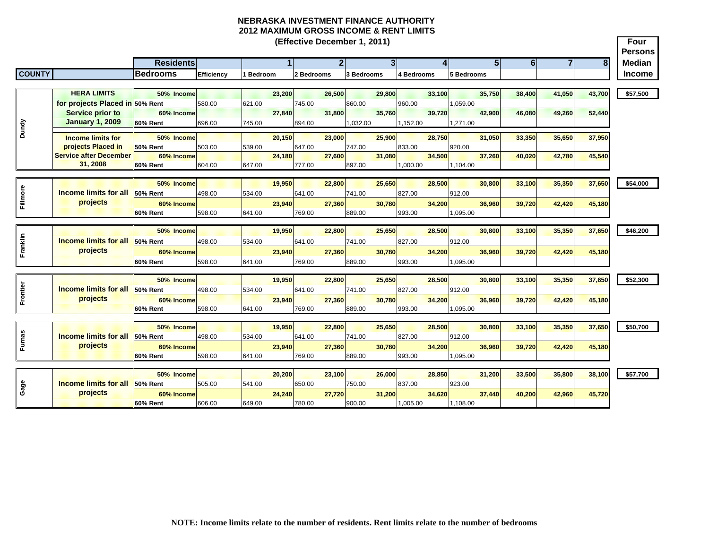**Four PersonsResidents 1 2 3 4 5 6 78 Median COUNTY Bedrooms Efficiency 1 Bedroom 2 Bedrooms 3 Bedrooms 4 Bedrooms 5 Bedrooms Income (Effective December 1, 2011) HERA LIMITS 50% Income 23,200 26,500 29,800 33,100 35,750 38,400 41,050 43,700 \$57,500 for projects Placed in 50% Rent**  580.00 621.00 745.00 860.00 960.00 1,059.00 **60% Income 27,840 31,800 35,760 39,720 42,900 46,080 49,260 52,440 60% Rent** 696.00 745.00 894.00 1,032.00 1,152.00 1,271.00 **50% Income 20,150 23,000 25,900 28,750 31,050 33,350 35,650 37,950 50% Rent** 503.00 539.00 647.00 747.00 833.00 920.00920.00 **60% Income 24,180 27,600 31,080 34,500 37,260 40,020 42,780 45,540 60% Rent** 604.00 647.00 777.00 897.00 1,000.00 1,104.00 **50% Income 19,950 22,800 25,650 28,500 30,800 33,100 35,350 37,650 \$54,000 50% Rent** 498.00 534.00 641.00 741.00 827.00 912.00912.00 **60% Income 23,940 27,360 30,780 34,200 36,960 39,720 42,420 45,180 60% Rent** 598.00 641.00 769.00 889.00 993.00 1,095.00 **50% Income 19,950 22,800 25,650 28,500 30,800 33,100 35,350 37,650 \$46,200 50% Rent** 498.00 534.00 641.00 741.00 827.00 912.00912.00 **60% Income 23,940 27,360 30,780 34,200 36,960 39,720 42,420 45,180 60% Rent** 598.00 641.00 769.00 889.00 993.00 1,095.00 **50% Income 19,950 22,800 25,650 28,500 30,800 33,100 35,350 37,650 \$52,300 50% Rent** 498.00 534.00 641.00 741.00 827.00 912.00**60% Income 23,940 27,360 30,780 34,200 36,960 39,720 42,420 45,180 60% Rent** 598.00 641.00 769.00 889.00 993.00 1,095.00 **50% Income 19,950 22,800 25,650 28,500 30,800 33,100 35,350 37,650 \$50,700 50% Rent** 498.00 534.00 641.00 741.00 827.00 912.00**60% Income 23,940 27,360 30,780 34,200 36,960 39,720 42,420 45,180 60% Rent** 598.00 641.00 769.00 889.00 993.00 1,095.00 **50% Income 20,200 23,100 26,000 28,850 31,200 33,500 35,800 38,100 \$57,700 50% Rent** 505.00 541.00 650.00 750.00 837.00 923.00923.00 **60% Income 24,240 27,720 31,200 34,620 37,440 40,200 42,960 45,720 60% Rent** 606.00 649.00 780.00 900.00 1,005.00 1,108.00 **Dundy Service prior to January 1, 2009 Income limits for projects Placed in Service after December 31, 2008** <u>Frome limits for all</u><br>E⊾l projects **Income limits for all projects Example 15 and 16 and 16 and 16 and 16 and 16 and 16 and 16 and 16 and 16 and 16 and 16 and 16 and 16 and 16 and 16 and 16 and 16 and 16 and 16 and 16 and 16 and 16 and 16 and 16 and 16 and 16 and 16 and 16 and 16 and 16 Fillmore Income limits for all**<br> **Fig.**<br> **Fig. Income limits for all projects**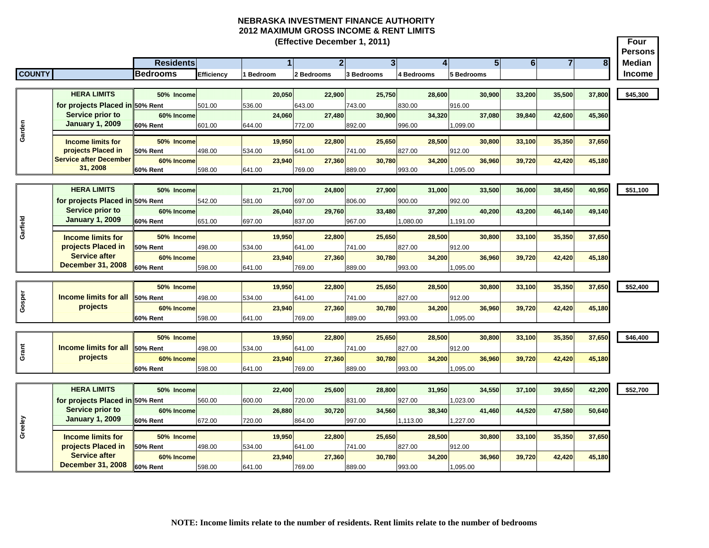**Four Persons Residents 1 2 3 4 5 6 78 Median COUNTY Bedrooms Efficiency 1 Bedroom 2 Bedrooms 3 Bedrooms 4 Bedrooms 5 Bedrooms Income (Effective December 1, 2011) HERA LIMITS 50% Income 20,050 22,900 25,750 28,600 30,900 33,200 35,500 37,800 \$45,300 for projects Placed in 50% Rent**  501.00 536.00 643.00 743.00 830.00 916.00**60% Income 24,060 27,480 30,900 34,320 37,080 39,840 42,600 45,360 60% Rent** 601.00 644.00 772.00 892.00 996.00 1,099.00 **50% Income 19,950 22,800 25,650 28,500 30,800 33,100 35,350 37,650 50% Rent** 498.00 534.00 641.00 741.00 827.00 912.00**60% Income 23,940 27,360 30,780 34,200 36,960 39,720 42,420 45,180 60% Rent** 598.00 641.00 769.00 889.00 993.00 1,095.00 **HERA LIMITS 50% Income 21,700 24,800 27,900 31,000 33,500 36,000 38,450 40,950 \$51,100 for projects Placed in 50% Rent**  542.00 581.00 697.00 806.00 900.00 992.00**60% Income 26,040 29,760 33,480 37,200 40,200 43,200 46,140 49,140 60% Rent** 651.00 697.00 837.00 967.00 1,080.00 1,191.00 **50% Income 19,950 22,800 25,650 28,500 30,800 33,100 35,350 37,650 50% Rent** 498.00 534.00 641.00 741.00 827.00 912.00912.00 **60% Income 23,940 27,360 30,780 34,200 36,960 39,720 42,420 45,180 60% Rent** 598.00 641.00 769.00 889.00 993.00 1,095.00 **50% Income 19,950 22,800 25,650 28,500 30,800 33,100 35,350 37,650 \$52,400 50% Rent** 498.00 534.00 641.00 741.00 827.00 912.00**60% Income 23,940 27,360 30,780 34,200 36,960 39,720 42,420 45,180 60% Rent** 598.00 641.00 769.00 889.00 993.00 1,095.00 **50% Income 19,950 22,800 25,650 28,500 30,800 33,100 35,350 37,650 \$46,400 50% Rent** 498.00 534.00 641.00 741.00 827.00 912.00**60% Income 23,940 27,360 30,780 34,200 36,960 39,720 42,420 45,180 60% Rent** 598.00 641.00 769.00 889.00 993.00 1,095.00 **HERA LIMITS 50% Income 22,400 25,600 28,800 31,950 34,550 37,100 39,650 42,200 \$52,700 for projects Placed in 50% Rent**  560.00 600.00 720.00 831.00 927.00 1,023.00 **60% Income 26,880 30,720 34,560 38,340 41,460 44,520 47,580 50,640 60% Rent** 672.00 720.00 864.00 997.00 1,113.00 1,227.00 **50% Income 19,950 22,800 25,650 28,500 30,800 33,100 35,350 37,650 50% Rent** 498.00 534.00 641.00 741.00 827.00 912.00**60% Income 23,940 27,360 30,780 34,200 36,960 39,720 42,420 45,180 60% Rent** 598.00 641.00 769.00 889.00 993.00 1,095.00 **Greeley Service prior to January 1, 2009 Gosper Income limits for all projects Service prior to January 1, 2009 Garden Service prior to January 1, 2009 Endome limits for all**<br> **B Income limits for all** <u>Gardia</u> **I**<br> **Income limits for**<br> **Income limits for projects Placed in Service after December 31, 2008 Income limits for projects Placed in Service after December 31, 2008 Income limits for projects Placed in Service after December 31, 2008**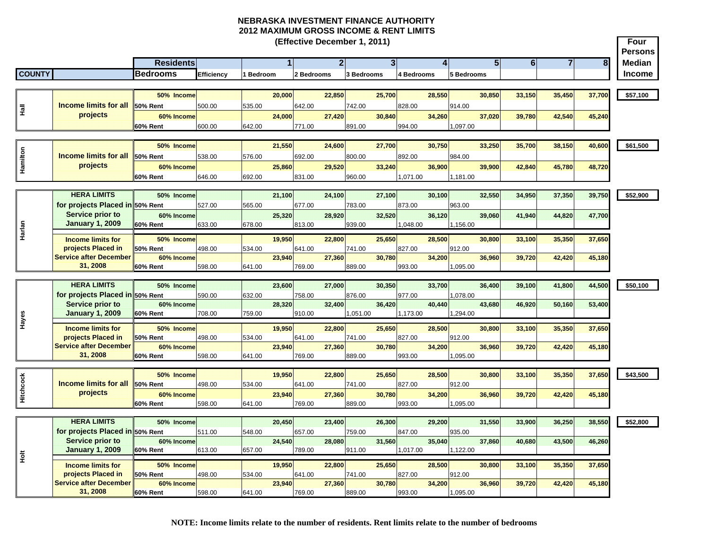**Four PersonsResidents 1 2 3 4 5 6 78 Median COUNTY Bedrooms Efficiency 1 Bedroom 2 Bedrooms 3 Bedrooms 4 Bedrooms 5 Bedrooms Income (Effective December 1, 2011) 50% Income 20,000 22,850 25,700 28,550 30,850 33,150 35,450 37,700 \$57,100 50% Rent** 500.00 535.00 642.00 742.00 828.00 914.00**60% Income 24,000 27,420 30,840 34,260 37,020 39,780 42,540 45,240 60% Rent** 600.00 642.00 771.00 891.00 994.00 1,097.00 **50% Income 21,550 24,600 27,700 30,750 33,250 35,700 38,150 40,600 \$61,500 50% Rent** 538.00 576.00 692.00 800.00 892.00 984.00**60% Income 25,860 29,520 33,240 36,900 39,900 42,840 45,780 48,720 60% Rent** 646.00 692.00 831.00 960.00 1,071.00 1,181.00 **HERA LIMITS 50% Income 21,100 24,100 27,100 30,100 32,550 34,950 37,350 39,750 \$52,900 for projects Placed in 50% Rent**  527.00 565.00 677.00 783.00 873.00 963.00**60% Income 25,320 28,920 32,520 36,120 39,060 41,940 44,820 47,700 60% Rent** 633.00 678.00 813.00 939.00 1,048.00 1,156.00 **50% Income 19,950 22,800 25,650 28,500 30,800 33,100 35,350 37,650 50% Rent** 498.00 534.00 641.00 741.00 827.00 912.00**60% Income 23,940 27,360 30,780 34,200 36,960 39,720 42,420 45,180 60% Rent** 598.00 641.00 769.00 889.00 993.00 1,095.00 **HERA LIMITS 50% Income 23,600 27,000 30,350 33,700 36,400 39,100 41,800 44,500 \$50,100 for projects Placed in 50% Rent**  590.00 632.00 758.00 876.00 977.00 1,078.00 **60% Income 28,320 32,400 36,420 40,440 43,680 46,920 50,160 53,400 60% Rent** 708.00 759.00 910.00 1,051.00 1,173.00 1,294.00 **50% Income 19,950 22,800 25,650 28,500 30,800 33,100 35,350 37,650 50% Rent** 498.00 534.00 641.00 741.00 827.00 912.00**60% Income 23,940 27,360 30,780 34,200 36,960 39,720 42,420 45,180 60% Rent** 598.00 641.00 769.00 889.00 993.00 1,095.00 **50% Income 19,950 22,800 25,650 28,500 30,800 33,100 35,350 37,650 \$43,500 50% Rent** 498.00 534.00 641.00 741.00 827.00 912.00**60% Income 23,940 27,360 30,780 34,200 36,960 39,720 42,420 45,180 60% Rent** 598.00 641.00 769.00 889.00 993.00 1,095.00 **HERA LIMITS 50% Income 20,450 23,400 26,300 29,200 31,550 33,900 36,250 38,550 \$52,800 for projects Placed in 50% Rent**  511.00 548.00 657.00 759.00 847.00 935.00**60% Income 24,540 28,080 31,560 35,040 37,860 40,680 43,500 46,260 60% Rent** 613.00 657.00 789.00 911.00 1,017.00 1,122.00 **50% Income 19,950 22,800 25,650 28,500 30,800 33,100 35,350 37,650 50% Rent** 498.00 534.00 641.00 741.00 827.00 912.00**60% Income 23,940 27,360 30,780 34,200 36,960 39,720 42,420 45,180 60% Rent** 598.00 641.00 769.00 889.00 993.00 1,095.00  $\frac{1}{2}$ <br> **Hispanical projects**<br> **Hispanic projects Income limits for projects Placed in Service after December 31, 2008**  $\frac{4}{5}$ **Service prior to January 1, 2009 Harlandary 1, 2009**<br> **Harlandar Come limits for projects Placed in Service after December 31, 2008 Handler Conserversion Server Conserversion**<br> **H**<br> **H**ere imits for **projects Placed in Service after December 31, 2008 Service prior to January 1, 2009 Service prior to January 1, 2009 Hallarl Income limits for all** projects **Hamilton Income limits for all**<br> **Hamilton**<br> **Hamilton Projects**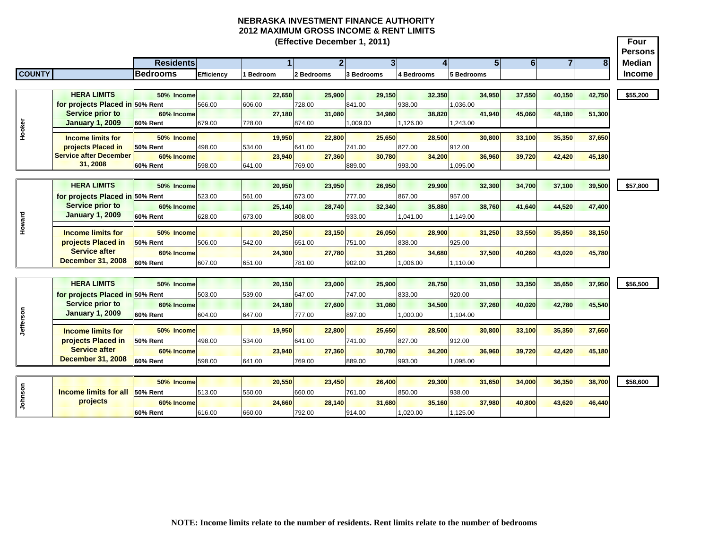|               |                                 |                  |            |           |              | (Effective December 1, 2011) |              |            |                |            |              |                |                |                |                | Four                            |
|---------------|---------------------------------|------------------|------------|-----------|--------------|------------------------------|--------------|------------|----------------|------------|--------------|----------------|----------------|----------------|----------------|---------------------------------|
|               |                                 | <b>Residents</b> |            |           | $\mathbf{1}$ |                              | $\mathbf{2}$ |            | 3 <sup>1</sup> |            | $\mathbf{4}$ | 5 <sub>1</sub> | 6 <sup>1</sup> | $\overline{7}$ | 8 <sup>1</sup> | <b>Persons</b><br><b>Median</b> |
| <b>COUNTY</b> |                                 | <b>Bedrooms</b>  | Efficiency | 1 Bedroom |              | 2 Bedrooms                   |              | 3 Bedrooms |                | 4 Bedrooms |              | 5 Bedrooms     |                |                |                | <b>Income</b>                   |
|               |                                 |                  |            |           |              |                              |              |            |                |            |              |                |                |                |                |                                 |
|               | <b>HERA LIMITS</b>              | 50% Income       |            |           | 22,650       |                              | 25,900       |            | 29,150         |            | 32,350       | 34,950         | 37,550         | 40,150         | 42,750         | \$55,200                        |
|               | for projects Placed in 50% Rent |                  | 566.00     | 606.00    |              | 728.00                       |              | 841.00     |                | 938.00     |              | 036.00         |                |                |                |                                 |
|               | <b>Service prior to</b>         | 60% Income       |            |           | 27,180       |                              | 31,080       |            | 34,980         |            | 38,820       | 41,940         | 45,060         | 48,180         | 51,300         |                                 |
| Hooker        | <b>January 1, 2009</b>          | 60% Rent         | 679.00     | 728.00    |              | 874.00                       |              | 1,009.00   |                | 1,126.00   |              | 1.243.00       |                |                |                |                                 |
|               | <b>Income limits for</b>        | 50% Income       |            |           | 19,950       |                              | 22,800       |            | 25,650         |            | 28,500       | 30,800         | 33,100         | 35,350         | 37,650         |                                 |
|               | projects Placed in              | 50% Rent         | 498.00     | 534.00    |              | 641.00                       |              | 741.00     |                | 827.00     |              | 912.00         |                |                |                |                                 |
|               | <b>Service after December</b>   | 60% Income       |            |           | 23,940       |                              | 27,360       |            | 30,780         |            | 34,200       | 36,960         | 39,720         | 42,420         | 45,180         |                                 |
|               | 31, 2008                        | 60% Rent         | 598.00     | 641.00    |              | 769.00                       |              | 889.00     |                | 993.00     |              | 1,095.00       |                |                |                |                                 |
|               |                                 |                  |            |           |              |                              |              |            |                |            |              |                |                |                |                |                                 |
|               | <b>HERA LIMITS</b>              | 50% Income       |            |           | 20,950       |                              | 23,950       |            | 26,950         |            | 29,900       | 32,300         | 34,700         | 37,100         | 39,500         | \$57,800                        |
|               | for projects Placed in 50% Rent |                  | 523.00     | 561.00    |              | 673.00                       |              | 777.00     |                | 867.00     |              | 957.00         |                |                |                |                                 |
|               | Service prior to                | 60% Income       |            |           | 25.140       |                              | 28.740       |            | 32.340         |            | 35,880       | 38,760         | 41,640         | 44,520         | 47,400         |                                 |
| Howard        | <b>January 1, 2009</b>          | <b>60% Rent</b>  | 628.00     | 673.00    |              | 808.00                       |              | 933.00     |                | 041.00     |              | 1,149.00       |                |                |                |                                 |
|               | <b>Income limits for</b>        | 50% Income       |            |           | 20,250       |                              | 23,150       |            | 26,050         |            | 28,900       | 31,250         | 33,550         | 35,850         | 38,150         |                                 |
|               | projects Placed in              | 50% Rent         | 506.00     | 542.00    |              | 651.00                       |              | 751.00     |                | 838.00     |              | 925.00         |                |                |                |                                 |
|               | <b>Service after</b>            | 60% Income       |            |           | 24,300       |                              | 27,780       |            | 31,260         |            | 34,680       | 37,500         | 40,260         | 43,020         | 45,780         |                                 |
|               | <b>December 31, 2008</b>        | 60% Rent         | 607.00     | 651.00    |              | 781.00                       |              | 902.00     |                | 1,006.00   |              | 1,110.00       |                |                |                |                                 |
|               |                                 |                  |            |           |              |                              |              |            |                |            |              |                |                |                |                |                                 |
|               | <b>HERA LIMITS</b>              | 50% Income       |            |           | 20,150       |                              | 23,000       |            | 25,900         |            | 28,750       | 31,050         | 33,350         | 35,650         | 37,950         | \$56,500                        |
|               | for projects Placed in 50% Rent |                  | 503.00     | 539.00    |              | 647.00                       |              | 747.00     |                | 833.00     |              | 920.00         |                |                |                |                                 |
|               | <b>Service prior to</b>         | 60% Income       |            |           | 24,180       |                              | 27,600       |            | 31,080         |            | 34,500       | 37,260         | 40.020         | 42.780         | 45,540         |                                 |
|               | <b>January 1, 2009</b>          | 60% Rent         | 604.00     | 647.00    |              | 777.00                       |              | 897.00     |                | .000.00    |              | 1,104.00       |                |                |                |                                 |
| Jefferson     | <b>Income limits for</b>        | 50% Income       |            |           | 19,950       |                              | 22,800       |            | 25,650         |            | 28,500       | 30,800         | 33,100         | 35,350         | 37,650         |                                 |
|               | projects Placed in              | 50% Rent         | 498.00     | 534.00    |              | 641.00                       |              | 741.00     |                | 827.00     |              | 912.00         |                |                |                |                                 |
|               | <b>Service after</b>            | 60% Income       |            |           | 23,940       |                              | 27,360       |            | 30,780         |            | 34,200       | 36,960         | 39,720         | 42,420         | 45,180         |                                 |
|               | <b>December 31, 2008</b>        | <b>60% Rent</b>  | 598.00     | 641.00    |              | 769.00                       |              | 889.00     |                | 993.00     |              | .095.00        |                |                |                |                                 |
|               |                                 |                  |            |           |              |                              |              |            |                |            |              |                |                |                |                |                                 |
|               |                                 | 50% Income       |            |           | 20,550       |                              | 23,450       |            | 26,400         |            | 29,300       | 31,650         | 34,000         | 36,350         | 38,700         | \$58,600                        |
| Johnson       | <b>Income limits for all</b>    | 50% Rent         | 513.00     | 550.00    |              | 660.00                       |              | 761.00     |                | 850.00     |              | 938.00         |                |                |                |                                 |
|               | projects                        | 60% Income       |            |           | 24,660       |                              | 28,140       |            | 31,680         |            | 35,160       | 37,980         | 40,800         | 43,620         | 46,440         |                                 |
|               |                                 |                  |            |           |              |                              |              |            |                |            |              |                |                |                |                |                                 |

616.00 660.00 792.00 914.00 1,020.00 1,125.00

**60% Rent**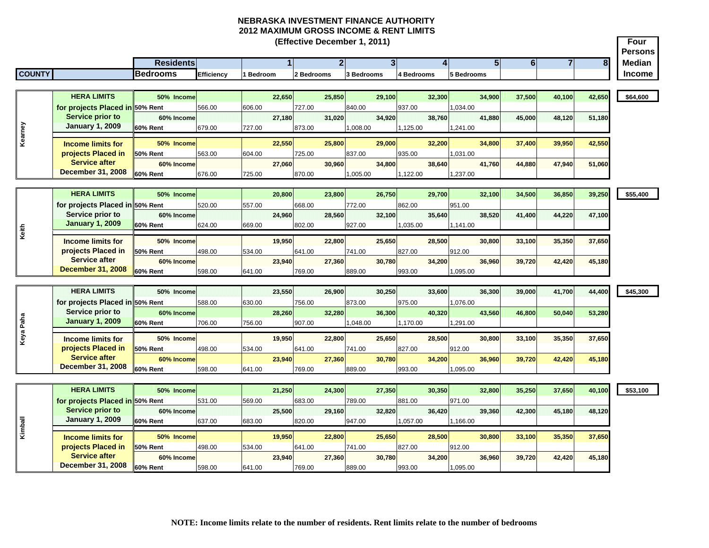|               |                                                     |                               |            |         |        | (Effective December 1, 2011) |                |                   |                |            |        |            |                |                |                |        | Four<br><b>Persons</b> |
|---------------|-----------------------------------------------------|-------------------------------|------------|---------|--------|------------------------------|----------------|-------------------|----------------|------------|--------|------------|----------------|----------------|----------------|--------|------------------------|
|               |                                                     | <b>Residents</b>              |            |         |        |                              | $\overline{2}$ |                   | 3 <sup>l</sup> |            | 4      |            | 5 <sup>1</sup> | $6\phantom{a}$ | $\overline{7}$ | 8      | <b>Median</b>          |
| <b>COUNTY</b> |                                                     | <b>Bedrooms</b>               | Efficiency | Bedroom |        | 2 Bedrooms                   |                | <b>3 Bedrooms</b> |                | 4 Bedrooms |        | 5 Bedrooms |                |                |                |        | <b>Income</b>          |
|               |                                                     |                               |            |         |        |                              |                |                   |                |            |        |            |                |                |                |        |                        |
|               | <b>HERA LIMITS</b>                                  | 50% Income                    |            |         | 22,650 |                              | 25,850         |                   | 29,100         |            | 32,300 |            | 34,900         | 37,500         | 40,100         | 42,650 | \$64,600               |
|               | for projects Placed in 50% Rent                     |                               | 566.00     | 606.00  |        | 727.00                       |                | 840.00            |                | 937.00     |        | 1,034.00   |                |                |                |        |                        |
|               | Service prior to                                    | 60% Income                    |            |         | 27,180 | 31,020                       |                |                   | 34,920         |            | 38.760 |            | 41,880         | 45,000         | 48.120         | 51,180 |                        |
|               | <b>January 1, 2009</b>                              | <b>60% Rent</b>               | 679.00     | 727.00  |        | 873.00                       |                | 1,008.00          |                | 1,125.00   |        | 1,241.00   |                |                |                |        |                        |
| Kearney       | <b>Income limits for</b>                            | 50% Income                    |            |         | 22,550 |                              | 25,800         |                   | 29.000         |            | 32,200 |            | 34,800         | 37,400         | 39,950         | 42,550 |                        |
|               | projects Placed in                                  | <b>50% Rent</b>               | 563.00     | 604.00  |        | 725.00                       |                | 837.00            |                | 935.00     |        | 1,031.00   |                |                |                |        |                        |
|               | <b>Service after</b>                                | 60% Income                    |            |         | 27,060 |                              | 30,960         |                   | 34,800         |            | 38,640 |            | 41,760         | 44,880         | 47,940         | 51,060 |                        |
|               | <b>December 31, 2008</b>                            | 60% Rent                      | 676.00     | 725.00  |        | 870.00                       |                | 1,005.00          |                | 1,122.00   |        | 1,237.00   |                |                |                |        |                        |
|               |                                                     |                               |            |         |        |                              |                |                   |                |            |        |            |                |                |                |        |                        |
|               | <b>HERA LIMITS</b>                                  | 50% Income                    |            |         | 20,800 |                              | 23,800         |                   | 26,750         |            | 29,700 |            | 32,100         | 34,500         | 36,850         | 39,250 | \$55,400               |
|               | for projects Placed in 50% Rent                     |                               | 520.00     | 557.00  |        | 668.00                       |                | 772.00            |                | 862.00     |        | 951.00     |                |                |                |        |                        |
|               | Service prior to<br><b>January 1, 2009</b>          | 60% Income                    |            |         | 24.960 |                              | 28.560         |                   | 32.100         |            | 35.640 |            | 38.520         | 41.400         | 44,220         | 47.100 |                        |
| Keith         |                                                     | <b>60% Rent</b>               | 624.00     | 669.00  |        | 802.00                       |                | 927.00            |                | 1,035.00   |        | 1,141.00   |                |                |                |        |                        |
|               | <b>Income limits for</b>                            | 50% Income                    |            |         | 19,950 |                              | 22,800         |                   | 25,650         |            | 28,500 |            | 30,800         | 33,100         | 35,350         | 37,650 |                        |
|               | projects Placed in                                  | 50% Rent                      | 498.00     | 534.00  |        | 641.00                       |                | 741.00            |                | 827.00     |        | 912.00     |                |                |                |        |                        |
|               | <b>Service after</b>                                | 60% Income                    |            |         | 23.940 |                              | 27.360         |                   | 30.780         |            | 34.200 |            | 36,960         | 39,720         | 42,420         | 45,180 |                        |
|               | <b>December 31, 2008</b>                            | 60% Rent                      | 598.00     | 641.00  |        | 769.00                       |                | 889.00            |                | 993.00     |        | 1,095.00   |                |                |                |        |                        |
|               | <b>HERA LIMITS</b>                                  |                               |            |         |        |                              |                |                   |                |            |        |            |                |                |                |        |                        |
|               |                                                     | 50% Income                    |            |         | 23,550 |                              | 26,900         |                   | 30.250         |            | 33.600 |            | 36.300         | 39.000         | 41,700         | 44,400 | \$45,300               |
|               | for projects Placed in 50% Rent<br>Service prior to | 60% Income                    | 588.00     | 630.00  | 28,260 | 756.00<br>32,280             |                | 873.00            | 36,300         | 975.00     | 40,320 | 076.00     | 43,560         | 46,800         | 50,040         | 53,280 |                        |
|               | <b>January 1, 2009</b>                              | <b>60% Rent</b>               | 706.00     | 756.00  |        | 907.00                       |                | 1,048.00          |                | 1,170.00   |        | 1,291.00   |                |                |                |        |                        |
| Keya Paha     |                                                     |                               |            |         |        |                              |                |                   |                |            |        |            |                |                |                |        |                        |
|               | <b>Income limits for</b>                            | 50% Income                    |            |         | 19.950 |                              | 22,800         |                   | 25,650         |            | 28,500 |            | 30,800         | 33,100         | 35,350         | 37,650 |                        |
|               | projects Placed in<br><b>Service after</b>          | 50% Rent                      | 498.00     | 534.00  |        | 641.00                       |                | 741.00            |                | 827.00     |        | 912.00     |                |                |                |        |                        |
|               | <b>December 31, 2008</b>                            | 60% Income<br>60% Rent        | 598.00     |         | 23,940 | 769.00                       | 27,360         | 889.00            | 30,780         | 993.00     | 34,200 | 1,095.00   | 36,960         | 39,720         | 42,420         | 45,180 |                        |
|               |                                                     |                               |            | 641.00  |        |                              |                |                   |                |            |        |            |                |                |                |        |                        |
|               | <b>HERA LIMITS</b>                                  | 50% Income                    |            |         | 21,250 |                              | 24.300         |                   | 27.350         |            | 30.350 |            | 32,800         | 35,250         | 37,650         | 40,100 | \$53,100               |
|               | for projects Placed in 50% Rent                     |                               | 531.00     | 569.00  |        | 683.00                       |                | 789.00            |                | 881.00     |        | 971.00     |                |                |                |        |                        |
|               | Service prior to                                    | 60% Income                    |            |         | 25,500 |                              | 29,160         |                   | 32,820         |            | 36,420 |            | 39,360         | 42,300         | 45,180         | 48,120 |                        |
|               | <b>January 1, 2009</b>                              | 60% Rent                      | 637.00     | 683.00  |        | 820.00                       |                | 947.00            |                | 1,057.00   |        | 1,166.00   |                |                |                |        |                        |
| Kimball       |                                                     |                               |            |         |        |                              |                |                   |                |            |        |            |                |                |                |        |                        |
|               | <b>Income limits for</b><br>projects Placed in      | 50% Income                    |            |         | 19,950 |                              | 22,800         |                   | 25,650         |            | 28,500 |            | 30,800         | 33,100         | 35,350         | 37,650 |                        |
|               | <b>Service after</b>                                | <b>50% Rent</b><br>60% Income | 498.00     | 534.00  | 23,940 | 641.00                       | 27,360         | 741.00            | 30,780         | 827.00     | 34,200 | 912.00     | 36,960         | 39,720         | 42,420         | 45,180 |                        |
|               | <b>December 31, 2008</b>                            | 60% Rent                      | 598.00     | 641.00  |        | 769.00                       |                | 889.00            |                | 993.00     |        | 1,095.00   |                |                |                |        |                        |
|               |                                                     |                               |            |         |        |                              |                |                   |                |            |        |            |                |                |                |        |                        |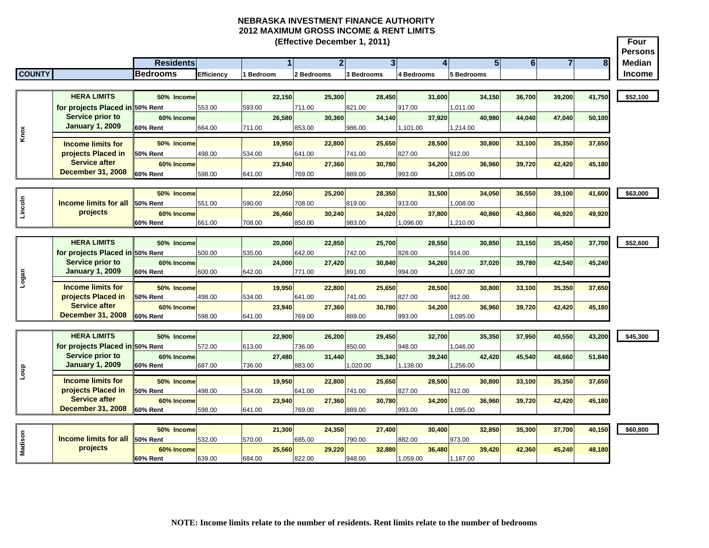**Four Persons Residents 1 2 3 4 5 6 78 Median COUNTY Bedrooms Efficiency 1 Bedroom 2 Bedrooms 3 Bedrooms 4 Bedrooms 5 Bedrooms Income (Effective December 1, 2011) HERA LIMITS 50% Income 22,150 25,300 28,450 31,600 34,150 36,700 39,200 41,750 \$52,100 for projects Placed in 50% Rent**  553.00 593.00 711.00 821.00 917.00 1,011.00 **60% Income 26,580 30,360 34,140 37,920 40,980 44,040 47,040 50,100 60% Rent** 664.00 711.00 853.00 986.00 1,101.00 1,214.00 **50% Income 19,950 22,800 25,650 28,500 30,800 33,100 35,350 37,650 50% Rent** 498.00 534.00 641.00 741.00 827.00 912.00912.00 **60% Income 23,940 27,360 30,780 34,200 36,960 39,720 42,420 45,180 60% Rent** 598.00 641.00 769.00 889.00 993.00 1,095.00 **50% Income 22,050 25,200 28,350 31,500 34,050 36,550 39,100 41,600 \$63,000 50% Rent** 551.00 590.00 708.00 819.00 913.00 1,008.00 **60% Income 26,460 30,240 34,020 37,800 40,860 43,860 46,920 49,920 60% Rent** 661.00 708.00 850.00 983.00 1,096.00 1,210.00 **HERA LIMITS 50% Income 20,000 22,850 25,700 28,550 30,850 33,150 35,450 37,700 \$52,600 for projects Placed in 50% Rent**  500.00 535.00 642.00 742.00 828.00 914.00**60% Income 24,000 27,420 30,840 34,260 37,020 39,780 42,540 45,240 60% Rent** 600.00 642.00 771.00 891.00 994.00 1,097.00 **50% Income 19,950 22,800 25,650 28,500 30,800 33,100 35,350 37,650 50% Rent** 498.00 534.00 641.00 741.00 827.00 912.00**60% Income 23,940 27,360 30,780 34,200 36,960 39,720 42,420 45,180 60% Rent** 598.00 641.00 769.00 889.00 993.00 1,095.00 **HERA LIMITS 50% Income 22,900 26,200 29,450 32,700 35,350 37,950 40,550 43,200 \$45,300 for projects Placed in 50% Rent**  572.00 613.00 736.00 850.00 948.00 1,046.00 **60% Income 27,480 31,440 35,340 39,240 42,420 45,540 48,660 51,840 60% Rent** 687.00 736.00 883.00 1,020.00 1,138.00 1,256.00 **50% Income 19,950 22,800 25,650 28,500 30,800 33,100 35,350 37,650 50% Rent** 498.00 534.00 641.00 741.00 827.00 912.00**60% Income 23,940 27,360 30,780 34,200 36,960 39,720 42,420 45,180 60% Rent** 598.00 641.00 769.00 889.00 993.00 1,095.00 **50% Income 21,300 24,350 27,400 30,400 32,850 35,300 37,700 40,150 \$60,800 50% Rent** 532.00 570.00 685.00 790.00 882.00 973.00**60% Income 25,560 29,220 32,880 36,480 39,420 42,360 45,240 48,180 Income limits for projects Placed in Service after December 31, 2008 Income limits for all projects Logan Computer**<br> **Logan Computer**<br> **Income limits for projects Placed in Service after December 31, 2008 Madison Income limits for all projects Service prior to January 1, 2009 Loup Service prior to January 1, 2009 Knox Lincoln Income limits for projects Placed in Service after December 31, 2008 Service prior to January 1, 2009**

639.00 684.00 822.00 948.00 1,059.00 1,167.00

**60% Rent**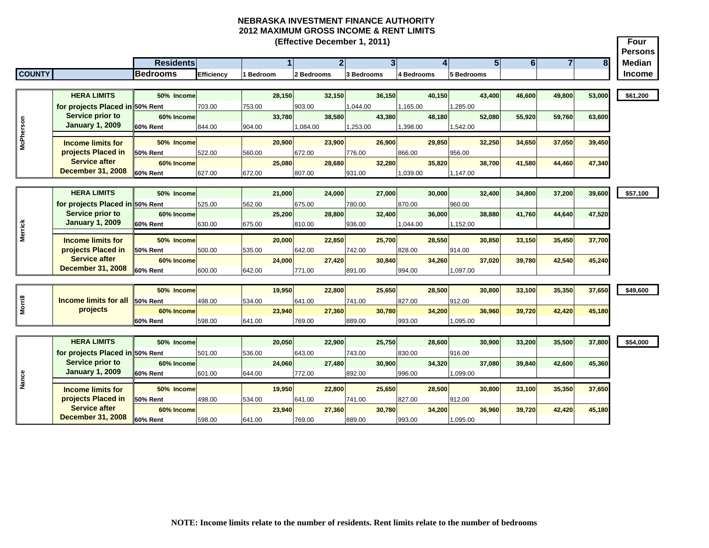|                |                                                   |                  |            |           |        | (Effective December 1, 2011) |                |            |                |            |        |            |                  |                                  |                | Four<br><b>Persons</b> |
|----------------|---------------------------------------------------|------------------|------------|-----------|--------|------------------------------|----------------|------------|----------------|------------|--------|------------|------------------|----------------------------------|----------------|------------------------|
|                |                                                   | <b>Residents</b> |            |           |        |                              | $\overline{2}$ |            | $\overline{3}$ |            |        |            | 5 <sup>1</sup>   | $\overline{6}$<br>$\overline{7}$ | 8 <sup>1</sup> | <b>Median</b>          |
| <b>COUNTY</b>  |                                                   | <b>Bedrooms</b>  | Efficiency | l Bedroom |        | 2 Bedrooms                   |                | 3 Bedrooms |                | 4 Bedrooms |        | 5 Bedrooms |                  |                                  |                | <b>Income</b>          |
|                |                                                   |                  |            |           |        |                              |                |            |                |            |        |            |                  |                                  |                |                        |
|                | <b>HERA LIMITS</b>                                | 50% Income       |            |           | 28,150 |                              | 32,150         |            | 36.150         |            | 40.150 |            | 43,400<br>46,600 | 49,800                           | 53,000         | \$61,200               |
|                | for projects Placed in 50% Rent                   |                  | 703.00     | 753.00    |        | 903.00                       |                | 1,044.00   |                | 1,165.00   |        | 1,285.00   |                  |                                  |                |                        |
|                | <b>Service prior to</b>                           | 60% Income       |            |           | 33,780 |                              | 38,580         |            | 43,380         |            | 48,180 |            | 52,080<br>55,920 | 59,760                           | 63,600         |                        |
|                | <b>January 1, 2009</b>                            | 60% Rent         | 844.00     | 904.00    |        | 1,084.00                     |                | 1,253.00   |                | 1,398.00   |        | 1,542.00   |                  |                                  |                |                        |
| McPherson      | <b>Income limits for</b>                          | 50% Income       |            |           | 20,900 |                              | 23,900         |            | 26,900         |            | 29,850 |            | 32,250<br>34,650 | 37,050                           | 39,450         |                        |
|                | projects Placed in                                | <b>50% Rent</b>  | 522.00     | 560.00    |        | 672.00                       |                | 776.00     |                | 866.00     |        | 956.00     |                  |                                  |                |                        |
|                | <b>Service after</b>                              | 60% Income       |            |           | 25,080 |                              | 28,680         |            | 32.280         |            | 35,820 |            | 38.700<br>41.580 | 44,460                           | 47,340         |                        |
|                | <b>December 31, 2008</b>                          | 60% Rent         | 627.00     | 672.00    |        | 807.00                       |                | 931.00     |                | 1.039.00   |        | 1,147.00   |                  |                                  |                |                        |
|                |                                                   |                  |            |           |        |                              |                |            |                |            |        |            |                  |                                  |                |                        |
|                | <b>HERA LIMITS</b>                                | 50% Income       |            |           | 21.000 |                              | 24.000         |            | 27,000         |            | 30,000 |            | 32,400<br>34,800 | 37,200                           | 39,600         | \$57,100               |
|                | for projects Placed in 50% Rent                   |                  | 525.00     | 562.00    |        | 675.00                       |                | 780.00     |                | 870.00     |        | 960.00     |                  |                                  |                |                        |
|                | <b>Service prior to</b>                           | 60% Income       |            |           | 25.200 |                              | 28,800         |            | 32.400         |            | 36,000 |            | 38,880<br>41,760 | 44,640                           | 47,520         |                        |
|                | <b>January 1, 2009</b>                            | 60% Rent         | 630.00     | 675.00    |        | 810.00                       |                | 936.00     |                | 1,044.00   |        | 1,152.00   |                  |                                  |                |                        |
| <b>Merrick</b> | <b>Income limits for</b>                          | 50% Income       |            |           | 20,000 |                              | 22,850         |            | 25,700         |            | 28,550 |            | 30,850<br>33,150 | 35,450                           | 37,700         |                        |
|                | projects Placed in                                | <b>50% Rent</b>  | 500.00     | 535.00    |        | 642.00                       |                | 742.00     |                | 828.00     |        | 914.00     |                  |                                  |                |                        |
|                | <b>Service after</b>                              | 60% Income       |            |           | 24,000 |                              | 27,420         |            | 30,840         |            | 34,260 |            | 37,020<br>39,780 | 42,540                           | 45,240         |                        |
|                | <b>December 31, 2008</b>                          | 60% Rent         | 600.00     | 642.00    |        | 771.00                       |                | 891.00     |                | 994.00     |        | 097.00     |                  |                                  |                |                        |
|                |                                                   |                  |            |           |        |                              |                |            |                |            |        |            |                  |                                  |                |                        |
|                |                                                   | 50% Income       |            |           | 19,950 |                              | 22,800         |            | 25,650         |            | 28,500 |            | 30,800<br>33,100 | 35,350                           | 37,650         | \$49,600               |
| <b>Morrill</b> | <b>Income limits for all</b>                      | 50% Rent         | 498.00     | 534.00    |        | 641.00                       |                | 741.00     |                | 827.00     |        | 912.00     |                  |                                  |                |                        |
|                | projects                                          | 60% Income       |            |           | 23,940 |                              | 27,360         |            | 30,780         |            | 34,200 |            | 36,960<br>39,720 | 42,420                           | 45,180         |                        |
|                |                                                   | 60% Rent         | 598.00     | 641.00    |        | 769.00                       |                | 889.00     |                | 993.00     |        | 1,095.00   |                  |                                  |                |                        |
|                |                                                   |                  |            |           |        |                              |                |            |                |            |        |            |                  |                                  |                |                        |
|                | <b>HERA LIMITS</b>                                | 50% Income       |            |           | 20.050 |                              | 22,900         |            | 25.750         |            | 28,600 |            | 30,900<br>33,200 | 35,500                           | 37,800         | \$54,000               |
|                | for projects Placed in 50% Rent                   |                  | 501.00     | 536.00    |        | 643.00                       |                | 743.00     |                | 830.00     |        | 916.00     |                  |                                  |                |                        |
|                | <b>Service prior to</b><br><b>January 1, 2009</b> | 60% Income       |            |           | 24.060 |                              | 27,480         |            | 30.900         |            | 34.320 |            | 37,080<br>39,840 | 42,600                           | 45,360         |                        |
| Nance          |                                                   | <b>60% Rent</b>  | 601.00     | 644.00    |        | 772.00                       |                | 892.00     |                | 996.00     |        | 1,099.00   |                  |                                  |                |                        |
|                | <b>Income limits for</b>                          | 50% Income       |            |           | 19,950 |                              | 22,800         |            | 25,650         |            | 28,500 |            | 30,800<br>33,100 | 35,350                           | 37,650         |                        |
|                | projects Placed in                                | <b>50% Rent</b>  | 498.00     | 534.00    |        | 641.00                       |                | 741.00     |                | 827.00     |        | 912.00     |                  |                                  |                |                        |
|                | <b>Service after</b>                              | 60% Income       |            |           | 23,940 |                              | 27,360         |            | 30,780         |            | 34,200 |            | 36,960<br>39,720 | 42,420                           | 45,180         |                        |
|                | <b>December 31, 2008</b>                          | <b>60% Rent</b>  | 598.00     | 641.00    |        | 769.00                       |                | 889.00     |                | 993.00     |        | 1,095.00   |                  |                                  |                |                        |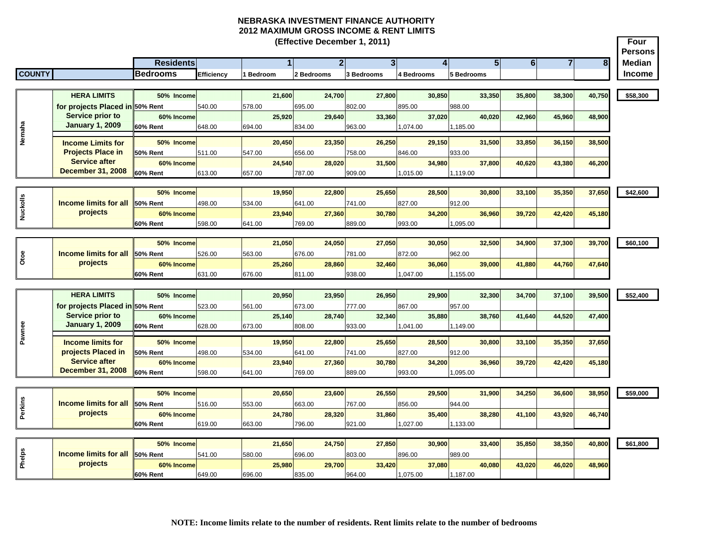|               |                                       |                  |            |           | (Effective December 1, 2011) |            |            |                |                                       | <b>Four</b><br><b>Persons</b> |
|---------------|---------------------------------------|------------------|------------|-----------|------------------------------|------------|------------|----------------|---------------------------------------|-------------------------------|
|               |                                       | <b>Residents</b> |            |           | $\overline{2}$               | 3          | Δ          | 5 <sup>1</sup> | $\overline{\bf{6}}$<br>$\overline{7}$ | 8<br><b>Median</b>            |
| <b>COUNTY</b> |                                       | <b>Bedrooms</b>  | Efficiency | l Bedroom | 2 Bedrooms                   | 3 Bedrooms | 4 Bedrooms | 5 Bedrooms     |                                       | <b>Income</b>                 |
|               |                                       |                  |            |           |                              |            |            |                |                                       |                               |
|               | <b>HERA LIMITS</b>                    | 50% Income       |            | 21.600    | 24,700                       | 27,800     | 30,850     | 33,350         | 35,800<br>38,300                      | 40,750<br>\$58,300            |
|               | for projects Placed in 50% Rent       |                  | 540.00     | 578.00    | 695.00                       | 802.00     | 895.00     | 988.00         |                                       |                               |
|               | <b>Service prior to</b>               | 60% Income       |            | 25,920    | 29,640                       | 33,360     | 37,020     | 40,020         | 42,960<br>45,960                      | 48,900                        |
|               | <b>January 1, 2009</b>                | <b>60% Rent</b>  | 648.00     | 694.00    | 834.00                       | 963.00     | 1,074.00   | 1,185.00       |                                       |                               |
| Nemaha        | <b>Income Limits for</b>              | 50% Income       |            | 20.450    | 23,350                       | 26.250     | 29.150     | 31,500         | 33,850<br>36.150                      | 38,500                        |
|               | <b>Projects Place in</b>              | <b>50% Rent</b>  | 511.00     | 547.00    | 656.00                       | 758.00     | 846.00     | 933.00         |                                       |                               |
|               | <b>Service after</b>                  | 60% Income       |            | 24,540    | 28,020                       | 31,500     | 34,980     | 37,800         | 40,620<br>43,380                      | 46,200                        |
|               | <b>December 31, 2008</b>              | <b>60% Rent</b>  | 613.00     | 657.00    | 787.00                       | 909.00     | 1,015.00   | 1,119.00       |                                       |                               |
|               |                                       |                  |            |           |                              |            |            |                |                                       |                               |
|               |                                       | 50% Income       |            | 19,950    | 22,800                       | 25,650     | 28,500     | 30,800         | 33,100<br>35,350                      | 37,650<br>\$42,600            |
| Nuckolls      | <b>Income limits for all</b>          | 50% Rent         | 498.00     | 534.00    | 641.00                       | 741.00     | 827.00     | 912.00         |                                       |                               |
|               | projects                              | 60% Income       |            | 23,940    | 27,360                       | 30,780     | 34,200     | 36,960         | 39,720<br>42,420                      | 45,180                        |
|               |                                       | 60% Rent         | 598.00     | 641.00    | 769.00                       | 889.00     | 993.00     | 095.00         |                                       |                               |
|               |                                       | 50% Income       |            | 21,050    | 24,050                       | 27,050     | 30,050     | 32,500         | 37,300<br>34,900                      | 39,700<br>\$60,100            |
|               | <b>Income limits for all</b>          | 50% Rent         | 526.00     | 563.00    | 676.00                       | 781.00     | 872.00     | 962.00         |                                       |                               |
| Otoe          | projects                              | 60% Income       |            | 25,260    | 28,860                       | 32,460     | 36,060     | 39,000         | 41,880<br>44,760                      | 47,640                        |
|               |                                       | 60% Rent         | 631.00     | 676.00    | 811.00                       | 938.00     | 1,047.00   | 1,155.00       |                                       |                               |
|               |                                       |                  |            |           |                              |            |            |                |                                       |                               |
|               | <b>HERA LIMITS</b>                    | 50% Income       |            | 20.950    | 23,950                       | 26.950     | 29,900     | 32,300         | 34,700<br>37,100                      | 39,500<br>\$52,400            |
|               | for projects Placed in 50% Rent       |                  | 523.00     | 561.00    | 673.00                       | 777.00     | 867.00     | 957.00         |                                       |                               |
|               | <b>Service prior to</b>               | 60% Income       |            | 25,140    | 28,740                       | 32,340     | 35,880     | 38,760         | 41,640<br>44,520                      | 47,400                        |
|               | <b>January 1, 2009</b>                | <b>60% Rent</b>  | 628.00     | 673.00    | 808.00                       | 933.00     | 1,041.00   | 1,149.00       |                                       |                               |
| Pawnee        | <b>Income limits for</b>              | 50% Income       |            | 19,950    | 22,800                       | 25,650     | 28,500     | 30,800         | 35,350<br>33,100                      | 37,650                        |
|               | projects Placed in                    | <b>50% Rent</b>  | 498.00     | 534.00    | 641.00                       | 741.00     | 827.00     | 912.00         |                                       |                               |
|               | <b>Service after</b>                  | 60% Income       |            | 23.940    | 27,360                       | 30.780     | 34,200     | 36,960         | 39,720<br>42,420                      | 45,180                        |
|               | <b>December 31, 2008</b>              | 60% Rent         | 598.00     | 641.00    | 769.00                       | 889.00     | 993.00     | 1,095.00       |                                       |                               |
|               |                                       |                  |            |           |                              |            |            |                |                                       |                               |
|               |                                       | 50% Income       |            | 20,650    | 23,600                       | 26,550     | 29,500     | 31,900         | 34,250<br>36,600                      | 38,950<br>\$59,000            |
| Perkins       | <b>Income limits for all</b>          | 50% Rent         | 516.00     | 553.00    | 663.00                       | 767.00     | 856.00     | 944.00         |                                       |                               |
|               | projects                              | 60% Income       |            | 24,780    | 28,320                       | 31,860     | 35,400     | 38,280         | 41,100<br>43,920                      | 46,740                        |
|               |                                       | <b>60% Rent</b>  | 619.00     | 663.00    | 796.00                       | 921.00     | 1,027.00   | 1,133.00       |                                       |                               |
|               |                                       | 50% Income       |            | 21,650    | 24,750                       | 27,850     | 30,900     | 33,400         | 35,850<br>38,350                      | 40,800<br>\$61,800            |
|               | <b>Income limits for all 50% Rent</b> |                  | 541.00     | 580.00    | 696.00                       | 803.00     | 896.00     | 989.00         |                                       |                               |
| Phelps        | projects                              | 60% Income       |            | 25,980    | 29,700                       | 33,420     | 37,080     | 40,080         | 43,020<br>46,020                      | 48,960                        |
|               |                                       | 60% Rent         | 649.00     | 696.00    | 835.00                       | 964.00     | 1,075.00   | 1,187.00       |                                       |                               |
|               |                                       |                  |            |           |                              |            |            |                |                                       |                               |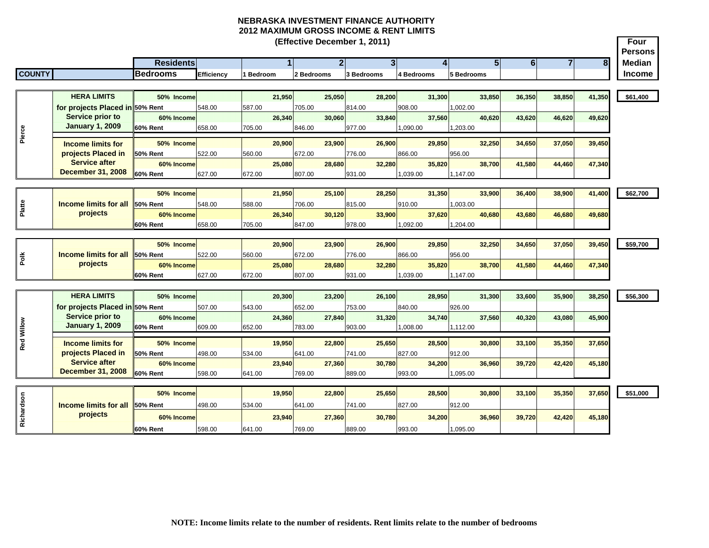|               |                                            |                        |                   |           |        | (Effective December 1, 2011) |                |                |            |        |                    |                                  |                |        | Four<br><b>Persons</b> |
|---------------|--------------------------------------------|------------------------|-------------------|-----------|--------|------------------------------|----------------|----------------|------------|--------|--------------------|----------------------------------|----------------|--------|------------------------|
|               |                                            | <b>Residents</b>       |                   |           |        |                              | $\overline{2}$ | 3 <sup>l</sup> |            |        |                    | 5 <sub>l</sub><br>$6\phantom{a}$ | $\overline{7}$ | 8      | <b>Median</b>          |
| <b>COUNTY</b> |                                            | <b>Bedrooms</b>        | <b>Efficiency</b> | 1 Bedroom |        | 2 Bedrooms                   |                | 3 Bedrooms     | 4 Bedrooms |        | 5 Bedrooms         |                                  |                |        | Income                 |
|               |                                            |                        |                   |           |        |                              |                |                |            |        |                    |                                  |                |        |                        |
|               | <b>HERA LIMITS</b>                         | 50% Income             |                   |           | 21.950 | 25.050                       |                | 28,200         |            | 31.300 | 33,850             | 36.350                           | 38,850         | 41,350 | \$61,400               |
|               | for projects Placed in 50% Rent            |                        | 548.00            | 587.00    |        | 705.00                       | 814.00         |                | 908.00     |        | 1,002.00           |                                  |                |        |                        |
|               | Service prior to                           | 60% Income             |                   |           | 26.340 | 30,060                       |                | 33,840         |            | 37,560 | 40.620             | 43,620                           | 46.620         | 49,620 |                        |
| Pierce        | <b>January 1, 2009</b>                     | 60% Rent               | 658.00            | 705.00    |        | 846.00                       | 977.00         |                | 1,090.00   |        | 1,203.00           |                                  |                |        |                        |
|               | <b>Income limits for</b>                   | 50% Income             |                   |           | 20,900 | 23,900                       |                | 26,900         |            | 29,850 | 32,250             | 34,650                           | 37,050         | 39,450 |                        |
|               | projects Placed in                         | <b>50% Rent</b>        | 522.00            | 560.00    |        | 672.00                       | 776.00         |                | 866.00     |        | 956.00             |                                  |                |        |                        |
|               | <b>Service after</b>                       | 60% Income             |                   |           | 25,080 | 28,680                       |                | 32,280         |            | 35,820 | 38,700             | 41,580                           | 44,460         | 47,340 |                        |
|               | <b>December 31, 2008</b>                   | 60% Rent               | 627.00            | 672.00    |        | 807.00                       | 931.00         |                | 1,039.00   |        | 1,147.00           |                                  |                |        |                        |
|               |                                            |                        |                   |           |        |                              |                |                |            |        |                    |                                  |                |        |                        |
|               | <b>Income limits for all</b>               | 50% Income             |                   |           | 21,950 | 25,100                       |                | 28,250         |            | 31,350 | 33,900             | 36,400                           | 38,900         | 41,400 | \$62,700               |
| Platte        | projects                                   | 50% Rent<br>60% Income | 548.00            | 588.00    | 26,340 | 706.00<br>30,120             | 815.00         | 33,900         | 910.00     | 37,620 | 1,003.00<br>40,680 |                                  |                | 49,680 |                        |
|               |                                            | <b>60% Rent</b>        | 658.00            | 705.00    |        | 847.00                       | 978.00         |                | 1,092.00   |        | 1,204.00           | 43,680                           | 46,680         |        |                        |
|               |                                            |                        |                   |           |        |                              |                |                |            |        |                    |                                  |                |        |                        |
|               |                                            | 50% Income             |                   |           | 20,900 | 23,900                       |                | 26,900         |            | 29,850 | 32,250             | 34,650                           | 37,050         | 39,450 | \$59,700               |
| Polk          | <b>Income limits for all</b>               | 50% Rent               | 522.00            | 560.00    |        | 672.00                       | 776.00         |                | 866.00     |        | 956.00             |                                  |                |        |                        |
|               | projects                                   | 60% Income             |                   |           | 25.080 | 28,680                       |                | 32,280         |            | 35.820 | 38,700             | 41,580                           | 44,460         | 47,340 |                        |
|               |                                            | <b>60% Rent</b>        | 627.00            | 672.00    |        | 807.00                       | 931.00         |                | 1,039.00   |        | 1,147.00           |                                  |                |        |                        |
|               |                                            |                        |                   |           |        |                              |                |                |            |        |                    |                                  |                |        |                        |
|               | <b>HERA LIMITS</b>                         | 50% Income             |                   |           | 20,300 | 23,200                       |                | 26,100         |            | 28,950 | 31,300             | 33,600                           | 35,900         | 38,250 | \$56,300               |
|               | for projects Placed in 50% Rent            |                        | 507.00            | 543.00    |        | 652.00                       | 753.00         |                | 840.00     |        | 926.00             |                                  |                |        |                        |
|               | Service prior to<br><b>January 1, 2009</b> | 60% Income             |                   |           | 24,360 | 27,840                       |                | 31,320         |            | 34,740 | 37,560             | 40,320                           | 43,080         | 45,900 |                        |
| Red Willow    |                                            | 60% Rent               | 609.00            | 652.00    |        | 783.00                       | 903.00         |                | 1,008.00   |        | 1,112.00           |                                  |                |        |                        |
|               | <b>Income limits for</b>                   | 50% Income             |                   |           | 19,950 | 22,800                       |                | 25,650         |            | 28,500 | 30,800             | 33,100                           | 35,350         | 37,650 |                        |
|               | projects Placed in                         | 50% Rent               | 498.00            | 534.00    |        | 641.00                       | 741.00         |                | 827.00     |        | 912.00             |                                  |                |        |                        |
|               | <b>Service after</b>                       | 60% Income             |                   |           | 23,940 | 27,360                       |                | 30,780         |            | 34,200 | 36,960             | 39,720                           | 42,420         | 45,180 |                        |
|               | <b>December 31, 2008</b>                   | 60% Rent               | 598.00            | 641.00    |        | 769.00                       | 889.00         |                | 993.00     |        | 1,095.00           |                                  |                |        |                        |
|               |                                            | 50% Income             |                   |           | 19,950 | 22,800                       |                | 25,650         |            | 28,500 | 30,800             | 33,100                           | 35,350         | 37,650 | \$51,000               |
| Richardson    | <b>Income limits for all</b>               | <b>150% Rent</b>       | 498.00            | 534.00    |        | 641.00                       | 741.00         |                | 827.00     |        | 912.00             |                                  |                |        |                        |
|               | projects                                   | 60% Income             |                   |           | 23,940 | 27,360                       |                | 30,780         |            | 34,200 | 36,960             | 39,720                           | 42,420         | 45,180 |                        |
|               |                                            | 60% Rent               | 598.00            | 641.00    |        | 769.00                       | 889.00         |                | 993.00     |        | 1,095.00           |                                  |                |        |                        |
|               |                                            |                        |                   |           |        |                              |                |                |            |        |                    |                                  |                |        |                        |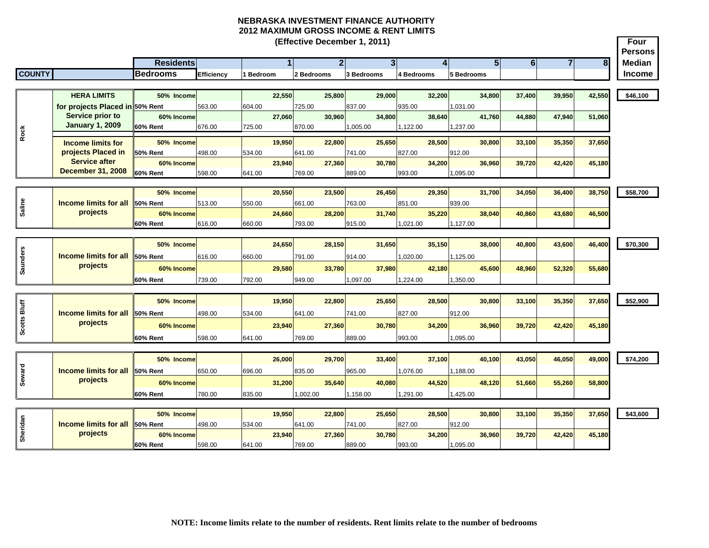**Four Persons Residents 1 2 3 4 5 6 78 Median COUNTY Bedrooms Efficiency 1 Bedroom 2 Bedrooms 3 Bedrooms 4 Bedrooms 5 Bedrooms Income (Effective December 1, 2011) HERA LIMITS 50% Income 22,550 25,800 29,000 32,200 34,800 37,400 39,950 42,550 \$46,100 for projects Placed in 50% Rent**  563.00 604.00 725.00 837.00 935.00 1,031.00 **60% Income 27,060 30,960 34,800 38,640 41,760 44,880 47,940 51,060 60% Rent** 676.00 725.00 870.00 1,005.00 1,122.00 1,237.00 **50% Income 19,950 22,800 25,650 28,500 30,800 33,100 35,350 37,650 50% Rent** 498.00 534.00 641.00 741.00 827.00 912.00**60% Income 23,940 27,360 30,780 34,200 36,960 39,720 42,420 45,180 60% Rent** 598.00 641.00 769.00 889.00 993.00 1,095.00 **50% Income 20,550 23,500 26,450 29,350 31,700 34,050 36,400 38,750 \$58,700 50% Rent** 513.00 550.00 661.00 763.00 851.00 939.00939.00 **60% Income 24,660 28,200 31,740 35,220 38,040 40,860 43,680 46,500 60% Rent** 616.00 660.00 793.00 915.00 1,021.00 1,127.00 **50% Income 24,650 28,150 31,650 35,150 38,000 40,800 43,600 46,400 \$70,300 50% Rent** 616.00 660.00 791.00 914.00 1,020.00 1,125.00 **60% Income 29,580 33,780 37,980 42,180 45,600 48,960 52,320 55,680 60% Rent** 739.00 792.00 949.00 1,097.00 1,224.00 1,350.00 **50% Income 19,950 22,800 25,650 28,500 30,800 33,100 35,350 37,650 \$52,900 50% Rent** 498.00 534.00 641.00 741.00 827.00 912.00**60% Income 23,940 27,360 30,780 34,200 36,960 39,720 42,420 45,180 60% Rent** 598.00 641.00 769.00 889.00 993.00 1,095.00 **50% Income 26,000 29,700 33,400 37,100 40,100 43,050 46,050 49,000 \$74,200 50% Rent** 650.00 696.00 835.00 965.00 1,076.00 1,188.00 **60% Income 31,200 35,640 40,080 44,520 48,120 51,660 55,260 58,800 60% Rent** 780.00 835.00 1,002.00 1,158.00 1,291.00 1,425.00 **50% Income 19,950 22,800 25,650 28,500 30,800 33,100 35,350 37,650 \$43,600 50% Rent** 498.00 534.00 641.00 741.00 827.00 912.00**60% Income 23,940 27,360 30,780 34,200 36,960 39,720 42,420 45,180 60% Rent** 598.00 641.00 769.00 889.00 993.00 1,095.00 **Income limits for all projects**  $\frac{a}{b}$  **Income limits for projects Placed in Service after December 31, 2008 Service prior to January 1, 2009 Saline Saunders Seward Scotts Bluff INCOME limits for all projects**<br> **Income limits for all projects**<br> **Income limits for all projects**<br> **Income limits for all projects**<br> **Income limits for all projects**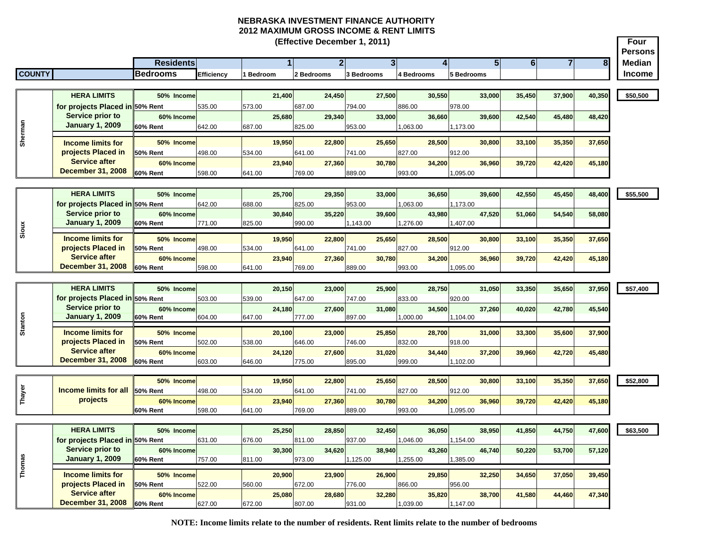÷

|               |                                                   |                  |            |                | (Effective December 1, 2011) |                |            |                 |                     |        | Four<br><b>Persons</b> |
|---------------|---------------------------------------------------|------------------|------------|----------------|------------------------------|----------------|------------|-----------------|---------------------|--------|------------------------|
|               |                                                   | <b>Residents</b> |            |                | 2 <sup>1</sup>               | 3 <sup>l</sup> | 4          | 5               | 6<br>$\overline{7}$ | 8      | <b>Median</b>          |
| <b>COUNTY</b> |                                                   | <b>Bedrooms</b>  | Efficiency | <b>Bedroom</b> | 2 Bedrooms                   | 3 Bedrooms     | 4 Bedrooms | <b>Bedrooms</b> |                     |        | <b>Income</b>          |
|               |                                                   |                  |            |                |                              |                |            |                 |                     |        |                        |
|               | <b>HERA LIMITS</b>                                | 50% Income       |            | 21,400         | 24,450                       | 27,500         | 30,550     | 33,000          | 35,450<br>37,900    | 40,350 | \$50,500               |
|               | for projects Placed in 50% Rent                   |                  | 535.00     | 573.00         | 687.00                       | 794.00         | 886.00     | 978.00          |                     |        |                        |
|               | Service prior to                                  | 60% Income       |            | 25.680         | 29.340                       | 33.000         | 36.660     | 39,600          | 42,540<br>45,480    | 48,420 |                        |
| Sherman       | <b>January 1, 2009</b>                            | 60% Rent         | 642.00     | 687.00         | 825.00                       | 953.00         | 1,063.00   | 1,173.00        |                     |        |                        |
|               |                                                   |                  |            |                |                              |                |            |                 |                     |        |                        |
|               | <b>Income limits for</b>                          | 50% Income       |            | 19,950         | 22,800                       | 25,650         | 28,500     | 30,800          | 33,100<br>35,350    | 37,650 |                        |
|               | projects Placed in<br><b>Service after</b>        | 50% Rent         | 498.00     | 534.00         | 641.00                       | 741.00         | 827.00     | 912.00          |                     |        |                        |
|               | <b>December 31, 2008</b>                          | 60% Income       |            | 23,940         | 27,360                       | 30,780         | 34,200     | 36,960          | 39,720<br>42,420    | 45,180 |                        |
|               |                                                   | 60% Rent         | 598.00     | 641.00         | 769.00                       | 889.00         | 993.00     | 095.00          |                     |        |                        |
|               |                                                   |                  |            |                |                              |                |            |                 |                     |        |                        |
|               | <b>HERA LIMITS</b>                                | 50% Income       |            | 25,700         | 29,350                       | 33,000         | 36,650     | 39,600          | 42,550<br>45,450    | 48,400 | \$55,500               |
|               | for projects Placed in 50% Rent                   |                  | 642.00     | 688.00         | 825.00                       | 953.00         | 1,063.00   | 1,173.00        |                     |        |                        |
|               | <b>Service prior to</b><br><b>January 1, 2009</b> | 60% Income       |            | 30,840         | 35.220                       | 39,600         | 43.980     | 47,520          | 54,540<br>51,060    | 58,080 |                        |
| Sioux         |                                                   | 60% Rent         | 771.00     | 825.00         | 990.00                       | 1,143.00       | 1,276.00   | ,407.00         |                     |        |                        |
|               | <b>Income limits for</b>                          | 50% Income       |            | 19,950         | 22,800                       | 25,650         | 28,500     | 30,800          | 35,350<br>33,100    | 37,650 |                        |
|               | projects Placed in                                | 50% Rent         | 498.00     | 534.00         | 641.00                       | 741.00         | 827.00     | 912.00          |                     |        |                        |
|               | <b>Service after</b>                              | 60% Income       |            | 23,940         | 27,360                       | 30,780         | 34,200     | 36,960          | 39,720<br>42,420    | 45,180 |                        |
|               | <b>December 31, 2008</b>                          | 60% Rent         | 598.00     | 641.00         | 769.00                       | 889.00         | 993.00     | 095.00          |                     |        |                        |
|               |                                                   |                  |            |                |                              |                |            |                 |                     |        |                        |
|               | <b>HERA LIMITS</b>                                | 50% Income       |            | 20,150         | 23,000                       | 25,900         | 28,750     | 31.050          | 35.650<br>33,350    | 37,950 | \$57,400               |
|               | for projects Placed in 50% Rent                   |                  | 503.00     | 539.00         | 647.00                       | 747.00         | 833.00     | 920.00          |                     |        |                        |
|               | Service prior to                                  | 60% Income       |            | 24,180         | 27,600                       | 31,080         | 34,500     | 37,260          | 40,020<br>42,780    | 45,540 |                        |
|               | <b>January 1, 2009</b>                            | 60% Rent         | 604.00     | 647.00         | 777.00                       | 897.00         | 1,000.00   | 1,104.00        |                     |        |                        |
| Stanton       | <b>Income limits for</b>                          | 50% Income       |            | 20,100         | 23,000                       | 25,850         | 28,700     | 31,000          | 33,300<br>35,600    | 37,900 |                        |
|               | projects Placed in                                | 50% Rent         | 502.00     | 538.00         | 646.00                       | 746.00         | 832.00     | 918.00          |                     |        |                        |
|               | <b>Service after</b>                              | 60% Income       |            | 24,120         | 27.600                       | 31,020         | 34,440     | 37,200          | 39,960<br>42,720    | 45,480 |                        |
|               | <b>December 31, 2008</b>                          | 60% Rent         | 603.00     | 646.00         | 775.00                       | 895.00         | 999.00     | 1,102.00        |                     |        |                        |
|               |                                                   |                  |            |                |                              |                |            |                 |                     |        |                        |
|               |                                                   | 50% Income       |            | 19,950         | 22,800                       | 25,650         | 28,500     | 30,800          | 33,100<br>35,350    | 37,650 | \$52,800               |
| Thayer        | <b>Income limits for all</b>                      | 50% Rent         | 498.00     | 534.00         | 641.00                       | 741.00         | 827.00     | 912.00          |                     |        |                        |
|               | projects                                          | 60% Income       |            | 23,940         | 27,360                       | 30.780         | 34,200     | 36,960          | 39,720<br>42,420    | 45,180 |                        |
|               |                                                   | 60% Rent         | 598.00     | 641.00         | 769.00                       | 889.00         | 993.00     | ,095.00         |                     |        |                        |
|               |                                                   |                  |            |                |                              |                |            |                 |                     |        |                        |
|               | <b>HERA LIMITS</b>                                | 50% Income       |            | 25,250         | 28.850                       | 32,450         | 36,050     | 38,950          | 41,850<br>44,750    | 47,600 | \$63,500               |
|               | for projects Placed in 50% Rent                   |                  | 631.00     | 676.00         | 811.00                       | 937.00         | 046.00     | ,154.00         |                     |        |                        |
|               | <b>Service prior to</b>                           | 60% Income       |            | 30,300         | 34,620                       | 38.940         | 43,260     | 46,740          | 50,220<br>53,700    | 57,120 |                        |
|               | <b>January 1, 2009</b>                            | 60% Rent         | 757.00     | 811.00         | 973.00                       | 1,125.00       | 1,255.00   | ,385.00         |                     |        |                        |
| Thomas        | <b>Income limits for</b>                          | 50% Income       |            | 20,900         | 23,900                       | 26,900         | 29,850     | 32,250          | 34,650<br>37,050    | 39,450 |                        |
|               | projects Placed in                                | 50% Rent         | 522.00     | 560.00         | 672.00                       | 776.00         | 866.00     | 956.00          |                     |        |                        |
|               | <b>Service after</b>                              | 60% Income       |            | 25,080         | 28,680                       | 32,280         | 35,820     | 38,700          | 41,580<br>44,460    | 47,340 |                        |
|               | <b>December 31, 2008</b>                          | <b>60% Rent</b>  | 627.00     | 672.00         | 807.00                       | 931.00         | 1.039.00   | 1.147.00        |                     |        |                        |

**NOTE: Income limits relate to the number of residents. Rent limits relate to the number of bedrooms**